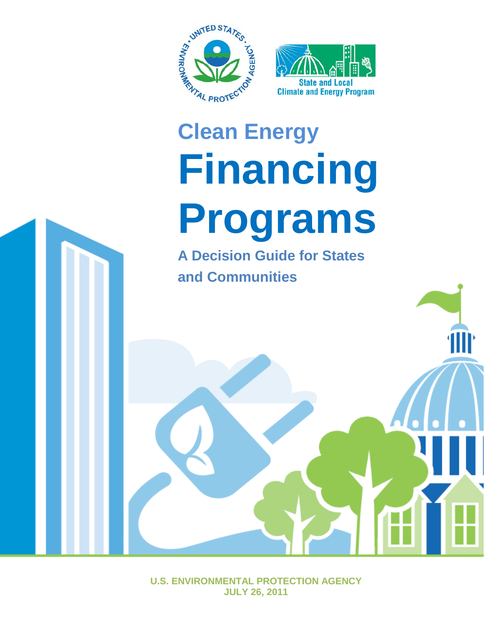

# **Clean Energy Financing Programs**

**A Decision Guide for States and Communities**

**U.S. ENVIRONMENTAL PROTECTION AGENCY JULY 26, 2011**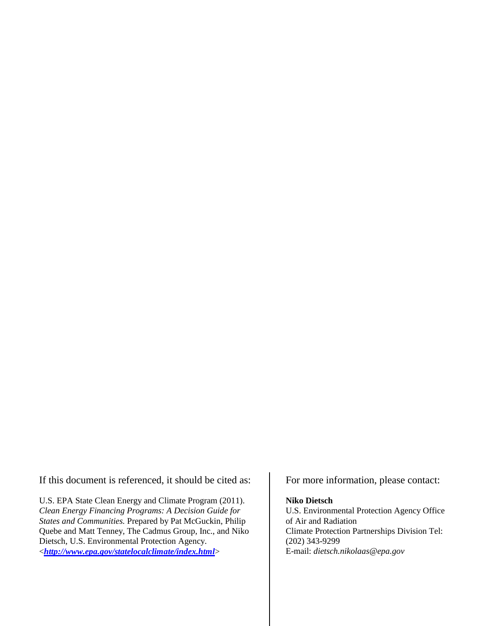If this document is referenced, it should be cited as:

U.S. EPA State Clean Energy and Climate Program (2011). *Clean Energy Financing Programs: A Decision Guide for States and Communities.* Prepared by Pat McGuckin, Philip Quebe and Matt Tenney, The Cadmus Group, Inc., and Niko Dietsch, U.S. Environmental Protection Agency. <*<http://www.epa.gov/statelocalclimate/index.html>*>

For more information, please contact:

#### **Niko Dietsch**

U.S. Environmental Protection Agency Office of Air and Radiation Climate Protection Partnerships Division Tel: (202) 343-9299 E-mail: *dietsch.nikolaas@epa.gov*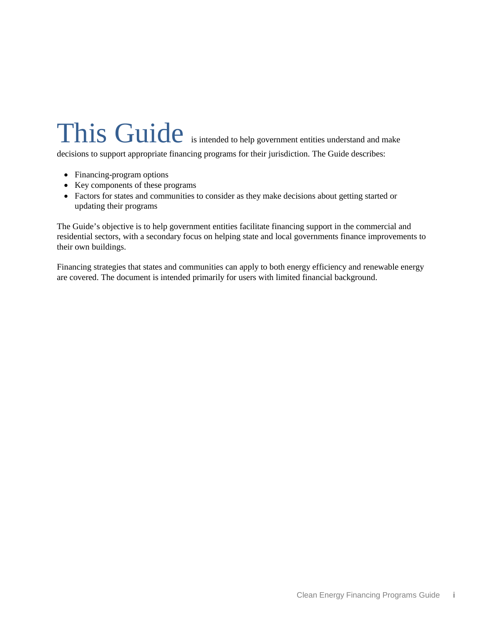# This Guide is intended to help government entities understand and make

decisions to support appropriate financing programs for their jurisdiction. The Guide describes:

- Financing-program options
- Key components of these programs
- Factors for states and communities to consider as they make decisions about getting started or updating their programs

The Guide's objective is to help government entities facilitate financing support in the commercial and residential sectors, with a secondary focus on helping state and local governments finance improvements to their own buildings.

Financing strategies that states and communities can apply to both energy efficiency and renewable energy are covered. The document is intended primarily for users with limited financial background.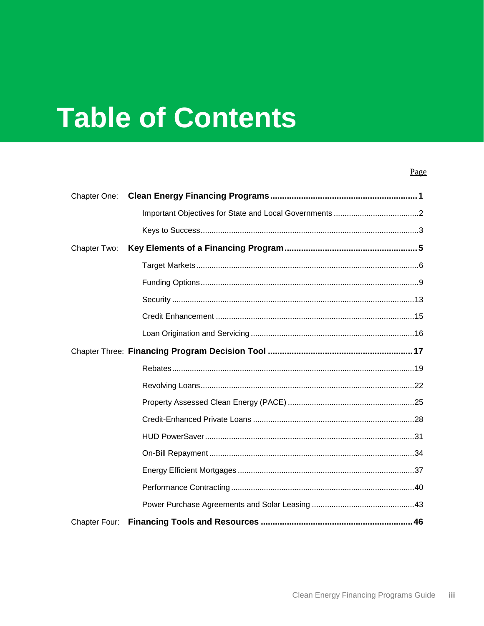# **Table of Contents**

### Page

| Chapter One:  |  |
|---------------|--|
|               |  |
|               |  |
| Chapter Two:  |  |
|               |  |
|               |  |
|               |  |
|               |  |
|               |  |
|               |  |
|               |  |
|               |  |
|               |  |
|               |  |
|               |  |
|               |  |
|               |  |
|               |  |
|               |  |
| Chapter Four: |  |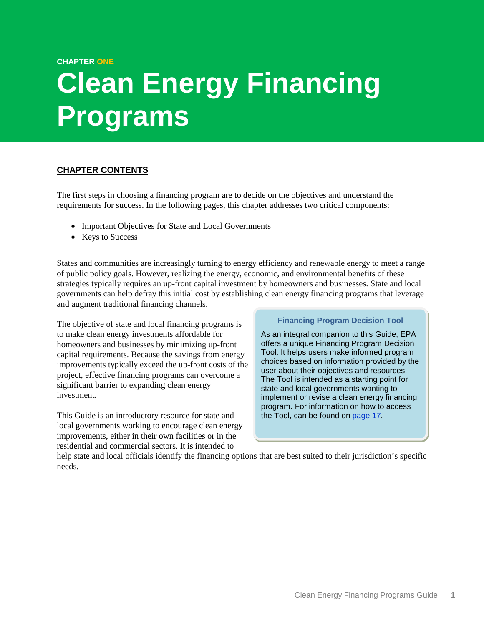#### **CHAPTER ONE**

# <span id="page-6-0"></span>**Clean Energy Financing Programs**

### **CHAPTER CONTENTS**

The first steps in choosing a financing program are to decide on the objectives and understand the requirements for success. In the following pages, this chapter addresses two critical components:

- [Important Objectives for State and Local Governments](#page-6-1)
- Keys to Success

States and communities are increasingly turning to energy efficiency and renewable energy to meet a range of public policy goals. However, realizing the energy, economic, and environmental benefits of these strategies typically requires an up-front capital investment by homeowners and businesses. State and local governments can help defray this initial cost by establishing clean energy financing programs that leverage and augment traditional financing channels.

The objective of state and local financing programs is to make clean energy investments affordable for homeowners and businesses by minimizing up-front capital requirements. Because the savings from energy improvements typically exceed the up-front costs of the project, effective financing programs can overcome a significant barrier to expanding clean energy investment.

This Guide is an introductory resource for state and local governments working to encourage clean energy improvements, either in their own facilities or in the residential and commercial sectors. It is intended to

### **Financing Program Decision Tool**

As an integral companion to this Guide, EPA offers a unique Financing Program Decision Tool. It helps users make informed program choices based on information provided by the user about their objectives and resources. The Tool is intended as a starting point for state and local governments wanting to implement or revise a clean energy financing program. For information on how to access the Tool, can be found on [page](#page-22-1) [17.](#page-22-1)

<span id="page-6-1"></span>help state and local officials identify the financing options that are best suited to their jurisdiction's specific needs.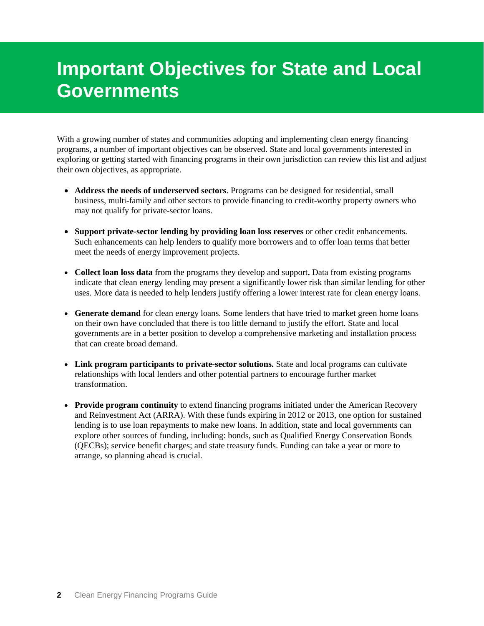# <span id="page-7-0"></span>**Important Objectives for State and Local Governments**

With a growing number of states and communities adopting and implementing clean energy financing programs, a number of important objectives can be observed. State and local governments interested in exploring or getting started with financing programs in their own jurisdiction can review this list and adjust their own objectives, as appropriate.

- **Address the needs of underserved sectors**. Programs can be designed for residential, small business, multi-family and other sectors to provide financing to credit-worthy property owners who may not qualify for private-sector loans.
- **Support private-sector lending by providing loan loss reserves** or other credit enhancements. Such enhancements can help lenders to qualify more borrowers and to offer loan terms that better meet the needs of energy improvement projects.
- **Collect loan loss data** from the programs they develop and support**.** Data from existing programs indicate that clean energy lending may present a significantly lower risk than similar lending for other uses. More data is needed to help lenders justify offering a lower interest rate for clean energy loans.
- Generate demand for clean energy loans. Some lenders that have tried to market green home loans on their own have concluded that there is too little demand to justify the effort. State and local governments are in a better position to develop a comprehensive marketing and installation process that can create broad demand.
- **Link program participants to private-sector solutions.** State and local programs can cultivate relationships with local lenders and other potential partners to encourage further market transformation.
- **Provide program continuity** to extend financing programs initiated under the American Recovery and Reinvestment Act (ARRA). With these funds expiring in 2012 or 2013, one option for sustained lending is to use loan repayments to make new loans. In addition, state and local governments can explore other sources of funding, including: bonds, such as Qualified Energy Conservation Bonds (QECBs); service benefit charges; and state treasury funds. Funding can take a year or more to arrange, so planning ahead is crucial.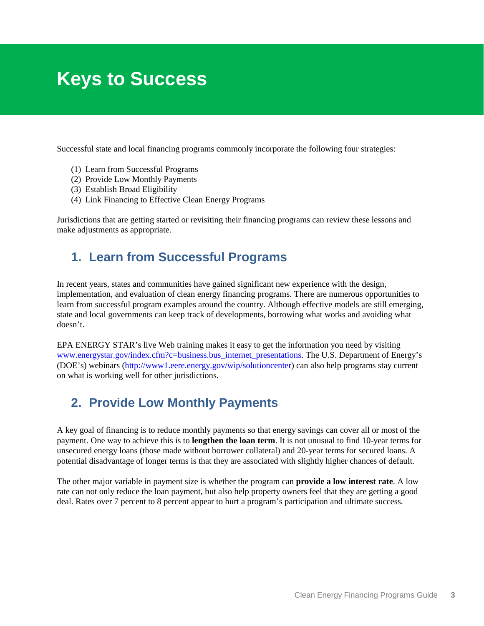# <span id="page-8-0"></span>**Keys to Success**

Successful state and local financing programs commonly incorporate the following four strategies:

- (1) Learn from Successful Programs
- (2) Provide Low Monthly Payments
- (3) Establish Broad Eligibility
- (4) Link Financing to Effective Clean Energy Programs

Jurisdictions that are getting started or revisiting their financing programs can review these lessons and make adjustments as appropriate.

### **1. Learn from Successful Programs**

In recent years, states and communities have gained significant new experience with the design, implementation, and evaluation of clean energy financing programs. There are numerous opportunities to learn from successful program examples around the country. Although effective models are still emerging, state and local governments can keep track of developments, borrowing what works and avoiding what doesn't.

EPA ENERGY STAR's live Web training makes it easy to get the information you need by visiting [www.energystar.gov/index.cfm?c=business.bus\\_internet\\_presentations.](http://www.energystar.gov/index.cfm?c=business.bus_internet_presentations) The U.S. Department of Energy's (DOE's) webinars [\(http://www1.eere.energy.gov/wip/solutioncenter\)](http://www1.eere.energy.gov/wip/solutioncenter) can also help programs stay current on what is working well for other jurisdictions.

### **2. Provide Low Monthly Payments**

A key goal of financing is to reduce monthly payments so that energy savings can cover all or most of the payment. One way to achieve this is to **lengthen the loan term**. It is not unusual to find 10-year terms for unsecured energy loans (those made without borrower collateral) and 20-year terms for secured loans. A potential disadvantage of longer terms is that they are associated with slightly higher chances of default.

The other major variable in payment size is whether the program can **provide a low interest rate**. A low rate can not only reduce the loan payment, but also help property owners feel that they are getting a good deal. Rates over 7 percent to 8 percent appear to hurt a program's participation and ultimate success.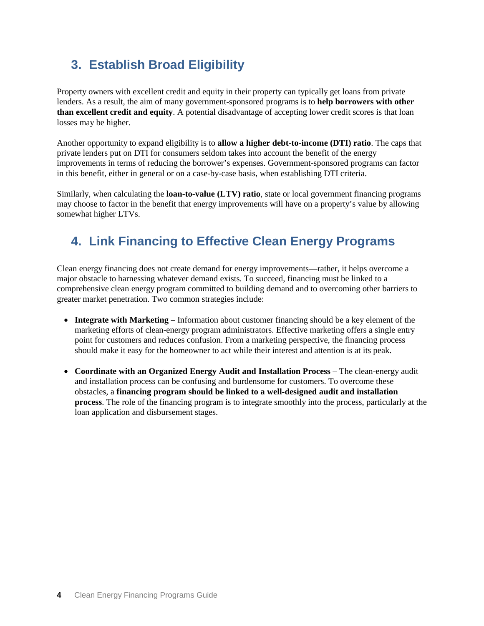# **3. Establish Broad Eligibility**

Property owners with excellent credit and equity in their property can typically get loans from private lenders. As a result, the aim of many government-sponsored programs is to **help borrowers with other than excellent credit and equity**. A potential disadvantage of accepting lower credit scores is that loan losses may be higher.

Another opportunity to expand eligibility is to **allow a higher debt-to-income (DTI) ratio**. The caps that private lenders put on DTI for consumers seldom takes into account the benefit of the energy improvements in terms of reducing the borrower's expenses. Government-sponsored programs can factor in this benefit, either in general or on a case-by-case basis, when establishing DTI criteria.

Similarly, when calculating the **loan-to-value (LTV) ratio**, state or local government financing programs may choose to factor in the benefit that energy improvements will have on a property's value by allowing somewhat higher LTVs.

# **4. Link Financing to Effective Clean Energy Programs**

Clean energy financing does not create demand for energy improvements—rather, it helps overcome a major obstacle to harnessing whatever demand exists. To succeed, financing must be linked to a comprehensive clean energy program committed to building demand and to overcoming other barriers to greater market penetration. Two common strategies include:

- **Integrate with Marketing –** Information about customer financing should be a key element of the marketing efforts of clean-energy program administrators. Effective marketing offers a single entry point for customers and reduces confusion. From a marketing perspective, the financing process should make it easy for the homeowner to act while their interest and attention is at its peak.
- **Coordinate with an Organized Energy Audit and Installation Process** The clean-energy audit and installation process can be confusing and burdensome for customers. To overcome these obstacles, a **financing program should be linked to a well-designed audit and installation process**. The role of the financing program is to integrate smoothly into the process, particularly at the loan application and disbursement stages.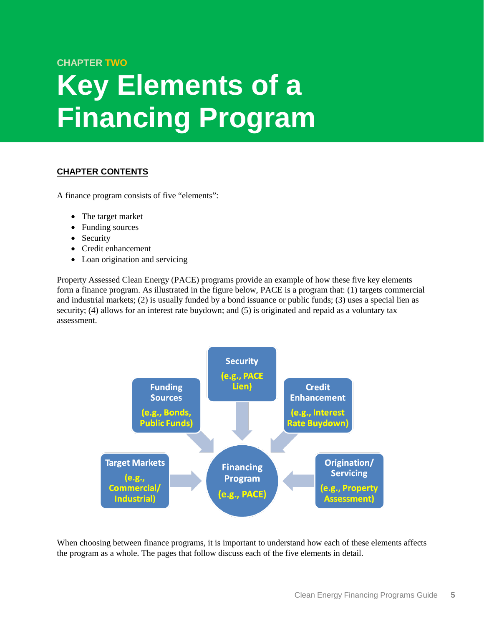### **CHAPTER TWO**

# <span id="page-10-0"></span>**Key Elements of a Financing Program**

### **CHAPTER CONTENTS**

A finance program consists of five "elements":

- The target market
- Funding sources
- Security
- Credit enhancement
- Loan origination and servicing

Property Assessed Clean Energy (PACE) programs provide an example of how these five key elements form a finance program. As illustrated in the figure below, PACE is a program that: (1) targets commercial and industrial markets; (2) is usually funded by a bond issuance or public funds; (3) uses a special lien as security; (4) allows for an interest rate buydown; and (5) is originated and repaid as a voluntary tax assessment.



When choosing between finance programs, it is important to understand how each of these elements affects the program as a whole. The pages that follow discuss each of the five elements in detail.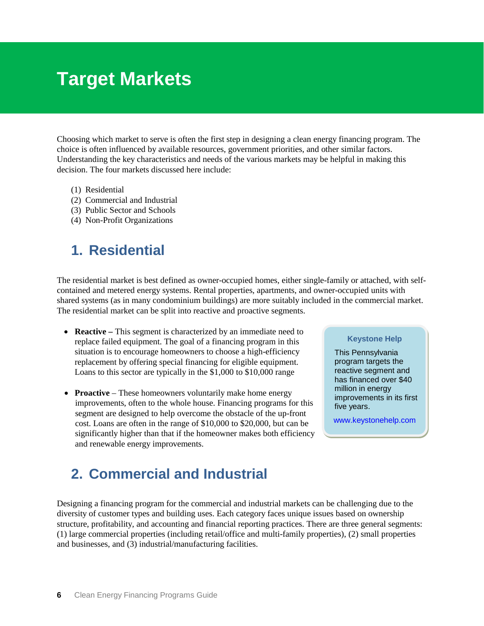# <span id="page-11-0"></span>**Target Markets**

Choosing which market to serve is often the first step in designing a clean energy financing program. The choice is often influenced by available resources, government priorities, and other similar factors. Understanding the key characteristics and needs of the various markets may be helpful in making this decision. The four markets discussed here include:

- (1) [Residential](#page-11-1)
- (2) [Commercial and Industrial](#page-11-2)
- (3) [Public Sector and Schools](#page-12-0)
- (4) [Non-Profit Organizations](#page-13-0)

# <span id="page-11-1"></span>**1. Residential**

The residential market is best defined as owner-occupied homes, either single-family or attached, with selfcontained and metered energy systems. Rental properties, apartments, and owner-occupied units with shared systems (as in many condominium buildings) are more suitably included in the commercial market. The residential market can be split into reactive and proactive segments.

- **Reactive** This segment is characterized by an immediate need to replace failed equipment. The goal of a financing program in this situation is to encourage homeowners to choose a high-efficiency replacement by offering special financing for eligible equipment. Loans to this sector are typically in the \$1,000 to \$10,000 range
- **Proactive** These homeowners voluntarily make home energy improvements, often to the whole house. Financing programs for this segment are designed to help overcome the obstacle of the up-front cost. Loans are often in the range of \$10,000 to \$20,000, but can be significantly higher than that if the homeowner makes both efficiency and renewable energy improvements.

#### **Keystone Help**

This Pennsylvania program targets the reactive segment and has financed over \$40 million in energy improvements in its first five years.

[www.keystonehelp.com](http://www.keystonehelp.com/)

# <span id="page-11-2"></span>**2. Commercial and Industrial**

Designing a financing program for the commercial and industrial markets can be challenging due to the diversity of customer types and building uses. Each category faces unique issues based on ownership structure, profitability, and accounting and financial reporting practices. There are three general segments: (1) large commercial properties (including retail/office and multi-family properties), (2) small properties and businesses, and (3) industrial/manufacturing facilities.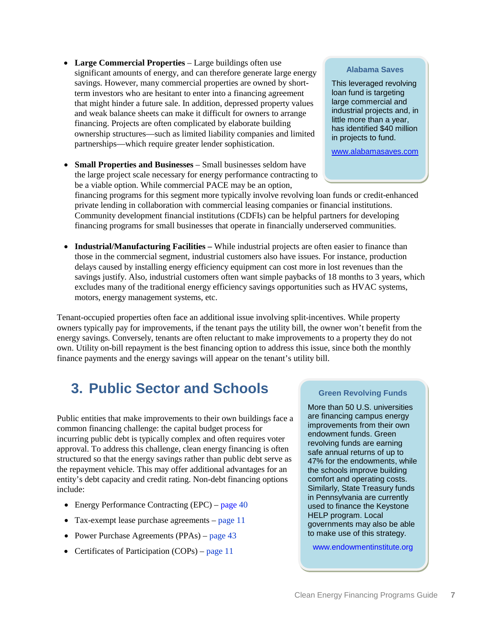Clean Energy Financing Programs Guide **7**

- Large Commercial Properties Large buildings often use significant amounts of energy, and can therefore generate large energy savings. However, many commercial properties are owned by shortterm investors who are hesitant to enter into a financing agreement that might hinder a future sale. In addition, depressed property values and weak balance sheets can make it difficult for owners to arrange financing. Projects are often complicated by elaborate building ownership structures—such as limited liability companies and limited partnerships—which require greater lender sophistication.
- **Small Properties and Businesses** Small businesses seldom have the large project scale necessary for energy performance contracting to be a viable option. While commercial PACE may be an option,

### **Alabama Saves**

This leveraged revolving loan fund is targeting large commercial and industrial projects and, in little more than a year, has identified \$40 million in projects to fund.

[www.alabamasaves.com](http://www.alabamasaves.com/)

financing programs for this segment more typically involve revolving loan funds or credit-enhanced private lending in collaboration with commercial leasing companies or financial institutions. Community development financial institutions (CDFIs) can be helpful partners for developing financing programs for small businesses that operate in financially underserved communities.

• **Industrial/Manufacturing Facilities –** While industrial projects are often easier to finance than those in the commercial segment, industrial customers also have issues. For instance, production delays caused by installing energy efficiency equipment can cost more in lost revenues than the savings justify. Also, industrial customers often want simple paybacks of 18 months to 3 years, which excludes many of the traditional energy efficiency savings opportunities such as HVAC systems, motors, energy management systems, etc.

Tenant-occupied properties often face an additional issue involving split-incentives. While property owners typically pay for improvements, if the tenant pays the utility bill, the owner won't benefit from the energy savings. Conversely, tenants are often reluctant to make improvements to a property they do not own. Utility on-bill repayment is the best financing option to address this issue, since both the monthly finance payments and the energy savings will appear on the tenant's utility bill.

# <span id="page-12-0"></span>**3. Public Sector and Schools**

Public entities that make improvements to their own buildings face a common financing challenge: the capital budget process for incurring public debt is typically complex and often requires voter approval. To address this challenge, clean energy financing is often structured so that the energy savings rather than public debt serve as the repayment vehicle. This may offer additional advantages for an entity's debt capacity and credit rating. Non-debt financing options include:

- Energy Performance Contracting (EPC) [page](#page-45-1) [40](#page-45-1)
- Tax-exempt lease purchase agreements [page](#page-16-0) [11](#page-16-0)
- Power Purchase Agreements (PPAs) [page](#page-48-0) [43](#page-48-0)
- Certificates of Participation (COPs) [page](#page-16-1) [11](#page-16-1)

### **[Green Revolving Funds](http://www.igencc.org/pdfs/CampusGreenRevolvingLoanFundsReport.pdf)**

More than 50 U.S. universities are financing campus energy improvements from their own endowment funds. Green revolving funds are earning safe annual returns of up to 47% for the endowments, while the schools improve building comfort and operating costs. Similarly, State Treasury funds in Pennsylvania are currently used to finance the Keystone HELP program. Local governments may also be able to make use of this strategy.

[www.endowmentinstitute.org](http://www.endowmentinstitute.org/)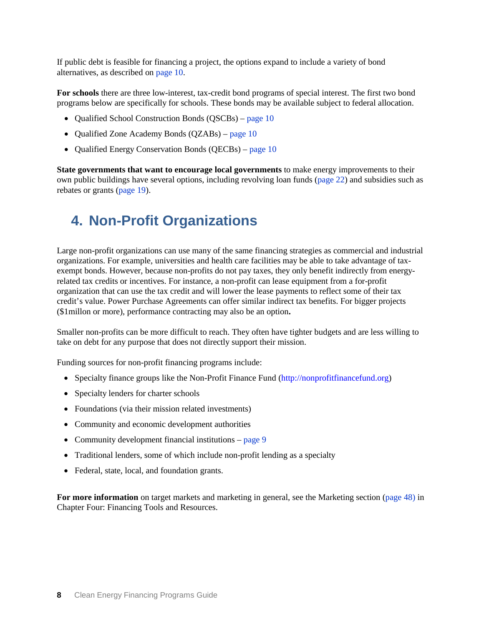If public debt is feasible for financing a project, the options expand to include a variety of bond alternatives, as described on [page](#page-15-0) [10.](#page-15-0)

**For schools** there are three low-interest, tax-credit bond programs of special interest. The first two bond programs below are specifically for schools. These bonds may be available subject to federal allocation.

- Oualified School Construction Bonds (OSCBs) [page](#page-15-1) [10](#page-15-1)
- Qualified Zone Academy Bonds (QZABs) [page](#page-15-2) [10](#page-15-2)
- Qualified Energy Conservation Bonds (QECBs) [page](#page-15-3) [10](#page-15-3)

**State governments that want to encourage local governments** to make energy improvements to their own public buildings have several options, including revolving loan funds [\(page](#page-27-1) [22\)](#page-27-1) and subsidies such as rebates or grants [\(page](#page-24-1) [19\)](#page-24-1).

# <span id="page-13-0"></span>**4. Non-Profit Organizations**

Large non-profit organizations can use many of the same financing strategies as commercial and industrial organizations. For example, universities and health care facilities may be able to take advantage of taxexempt bonds. However, because non-profits do not pay taxes, they only benefit indirectly from energyrelated tax credits or incentives. For instance, a non-profit can lease equipment from a for-profit organization that can use the tax credit and will lower the lease payments to reflect some of their tax credit's value. Power Purchase Agreements can offer similar indirect tax benefits. For bigger projects (\$1millon or more), performance contracting may also be an option**.**

Smaller non-profits can be more difficult to reach. They often have tighter budgets and are less willing to take on debt for any purpose that does not directly support their mission.

Funding sources for non-profit financing programs include:

- Specialty finance groups like the Non-Profit Finance Fund [\(http://nonprofitfinancefund.org\)](http://nonprofitfinancefund.org/)
- Specialty lenders for charter schools
- Foundations (via their mission related investments)
- Community and economic development authorities
- Community development financial institutions [page](#page-14-1) [9](#page-14-1)
- Traditional lenders, some of which include non-profit lending as a specialty
- Federal, state, local, and foundation grants.

For more information on target markets and marketing in general, see the Marketing section [\(page](#page-53-0) [48\)](#page-53-0) in Chapter Four: Financing Tools and Resources.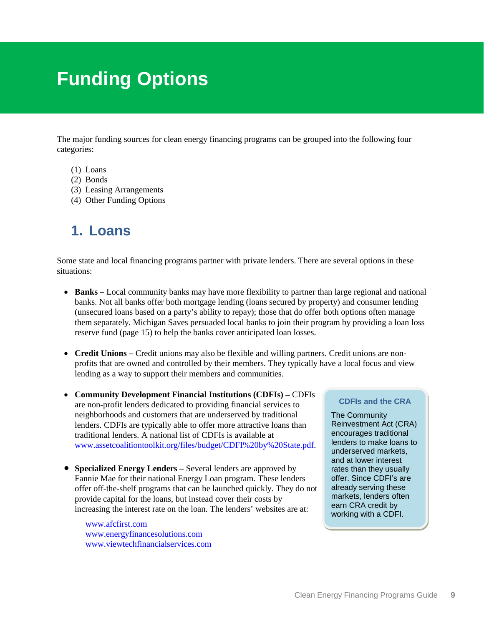# <span id="page-14-1"></span><span id="page-14-0"></span>**Funding Options**

The major funding sources for clean energy financing programs can be grouped into the following four categories:

- (1) Loans
- (2) [Bonds](#page-15-0)
- (3) Leasing Arrangements
- (4) Other Funding Options

# **1. Loans**

Some state and local financing programs partner with private lenders. There are several options in these situations:

- **Banks –** Local community banks may have more flexibility to partner than large regional and national banks. Not all banks offer both mortgage lending (loans secured by property) and consumer lending (unsecured loans based on a party's ability to repay); those that do offer both options often manage them separately. Michigan Saves persuaded local banks to join their program by providing a loan loss reserve fund (page [15\)](#page-20-1) to help the banks cover anticipated loan losses.
- **Credit Unions** Credit unions may also be flexible and willing partners. Credit unions are nonprofits that are owned and controlled by their members. They typically have a local focus and view lending as a way to support their members and communities.
- **Community Development Financial Institutions (CDFIs) –** CDFIs are non-profit lenders dedicated to providing financial services to neighborhoods and customers that are underserved by traditional lenders. CDFIs are typically able to offer more attractive loans than traditional lenders. A national list of CDFIs is available at [www.assetcoalitiontoolkit.org/files/budget/CDFI%20by%20State.pdf.](http://www.assetcoalitiontoolkit.org/files/budget/CDFI%20by%20State.pdf)
- **Specialized Energy Lenders –** Several lenders are approved by Fannie Mae for their national Energy Loan program. These lenders offer off-the-shelf programs that can be launched quickly. They do not provide capital for the loans, but instead cover their costs by increasing the interest rate on the loan. The lenders' websites are at:

[www.afcfirst.com](http://www.afcfirst.com/) [www.energyfinancesolutions.com](http://www.energyfinancesolutions.com/) [www.viewtechfinancialservices.com](http://www.viewtechfinancialservices.com/)

#### **CDFIs and the CRA**

The Community Reinvestment Act (CRA) encourages traditional lenders to make loans to underserved markets, and at lower interest rates than they usually offer. Since CDFI's are already serving these markets, lenders often earn CRA credit by working with a CDFI.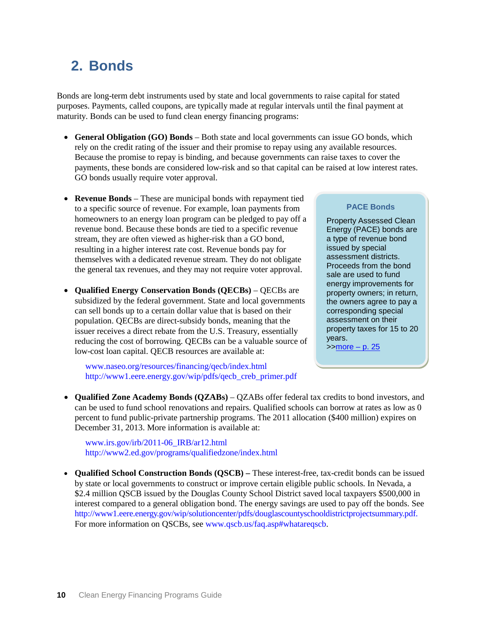# <span id="page-15-0"></span>**2. Bonds**

Bonds are long-term debt instruments used by state and local governments to raise capital for stated purposes. Payments, called coupons, are typically made at regular intervals until the final payment at maturity. Bonds can be used to fund clean energy financing programs:

- **General Obligation (GO) Bonds** Both state and local governments can issue GO bonds, which rely on the credit rating of the issuer and their promise to repay using any available resources. Because the promise to repay is binding, and because governments can raise taxes to cover the payments, these bonds are considered low-risk and so that capital can be raised at low interest rates. GO bonds usually require voter approval.
- **Revenue Bonds**  These are municipal bonds with repayment tied to a specific source of revenue. For example, loan payments from homeowners to an energy loan program can be pledged to pay off a revenue bond. Because these bonds are tied to a specific revenue stream, they are often viewed as higher-risk than a GO bond, resulting in a higher interest rate cost. Revenue bonds pay for themselves with a dedicated revenue stream. They do not obligate the general tax revenues, and they may not require voter approval.
- <span id="page-15-3"></span>• **Qualified Energy Conservation Bonds (QECBs)** – QECBs are subsidized by the federal government. State and local governments can sell bonds up to a certain dollar value that is based on their population. QECBs are direct-subsidy bonds, meaning that the issuer receives a direct rebate from the U.S. Treasury, essentially reducing the cost of borrowing. QECBs can be a valuable source of low-cost loan capital. QECB resources are available at:

[www.naseo.org/resources/financing/qecb/index.html](http://www.naseo.org/resources/financing/qecb/index.html) [http://www1.eere.energy.gov/wip/pdfs/qecb\\_creb\\_primer.pdf](http://www1.eere.energy.gov/wip/pdfs/qecb_creb_primer.pdf)

<span id="page-15-2"></span>• **Qualified Zone Academy Bonds (QZABs)** – QZABs offer federal tax credits to bond investors, and can be used to fund school renovations and repairs. Qualified schools can borrow at rates as low as 0 percent to fund public-private partnership programs. The 2011 allocation (\$400 million) expires on December 31, 2013. More information is available at:

[www.irs.gov/irb/2011-06\\_IRB/ar12.html](http://www.irs.gov/irb/2011-06_IRB/ar12.html) <http://www2.ed.gov/programs/qualifiedzone/index.html>

<span id="page-15-1"></span>• **Qualified School Construction Bonds (QSCB) –** These interest-free, tax-credit bonds can be issued by state or local governments to construct or improve certain eligible public schools. In Nevada, a \$2.4 million QSCB issued by the Douglas County School District saved local taxpayers \$500,000 in interest compared to a general obligation bond. The energy savings are used to pay off the bonds. See [http://www1.eere.energy.gov/wip/solutioncenter/pdfs/douglascountyschooldistrictprojectsummary.pdf.](http://www1.eere.energy.gov/wip/solutioncenter/pdfs/douglascountyschooldistrictprojectsummary.pdf) For more information on QSCBs, see [www.qscb.us/faq.asp#whatareqscb.](http://www.qscb.us/faq.asp#whatareqscb)

#### **[PACE Bonds](#page-30-1)**

Property Assessed Clean Energy (PACE) bonds are a type of revenue bond issued by special assessment districts. Proceeds from the bond sale are used to fund energy improvements for property owners; in return, the owners agree to pay a corresponding special assessment on their property taxes for 15 to 20 years.  $\frac{3}{2}$  >[>more –](#page-30-1) p. 25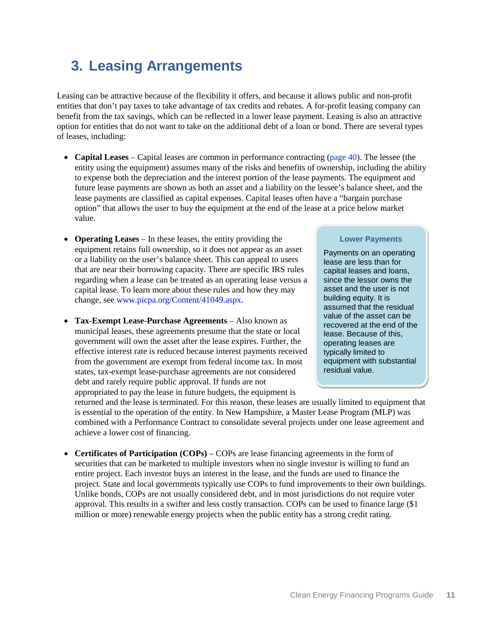# **3. Leasing Arrangements**

Leasing can be attractive because of the flexibility it offers, and because it allows public and non-profit entities that don't pay taxes to take advantage of tax credits and rebates. A for-profit leasing company can benefit from the tax savings, which can be reflected in a lower lease payment. Leasing is also an attractive option for entities that do not want to take on the additional debt of a loan or bond. There are several types of leases, including:

- **Capital Leases** Capital leases are common in performance contracting [\(page](#page-45-1) [40\)](#page-45-1). The lessee (the entity using the equipment) assumes many of the risks and benefits of ownership, including the ability to expense both the depreciation and the interest portion of the lease payments. The equipment and future lease payments are shown as both an asset and a liability on the lessee's balance sheet, and the lease payments are classified as capital expenses. Capital leases often have a "bargain purchase option" that allows the user to buy the equipment at the end of the lease at a price below market value.
- **Operating Leases**  In these leases, the entity providing the equipment retains full ownership, so it does not appear as an asset or a liability on the user's balance sheet. This can appeal to users that are near their borrowing capacity. There are specific IRS rules regarding when a lease can be treated as an operating lease versus a capital lease. To learn more about these rules and how they may change, see [www.picpa.org/Content/41049.aspx.](http://www.picpa.org/Content/41049.aspx)
- <span id="page-16-0"></span>• **Tax-Exempt Lease-Purchase Agreements** – Also known as municipal leases, these agreements presume that the state or local government will own the asset after the lease expires. Further, the effective interest rate is reduced because interest payments received from the government are exempt from federal income tax. In most states, tax-exempt lease-purchase agreements are not considered debt and rarely require public approval. If funds are not appropriated to pay the lease in future budgets, the equipment is

#### **Lower Payments**

Payments on an operating lease are less than for capital leases and loans, since the lessor owns the asset and the user is not building equity. It is assumed that the residual value of the asset can be recovered at the end of the lease. Because of this, operating leases are typically limited to equipment with substantial residual value.

returned and the lease is terminated. For this reason, these leases are usually limited to equipment that is essential to the operation of the entity. In New Hampshire, a Master Lease Program (MLP) was combined with a Performance Contract to consolidate several projects under one lease agreement and achieve a lower cost of financing.

<span id="page-16-1"></span>• **Certificates of Participation (COPs)** – COPs are lease financing agreements in the form of securities that can be marketed to multiple investors when no single investor is willing to fund an entire project. Each investor buys an interest in the lease, and the funds are used to finance the project. State and local governments typically use COPs to fund improvements to their own buildings. Unlike bonds, COPs are not usually considered debt, and in most jurisdictions do not require voter approval. This results in a swifter and less costly transaction. COPs can be used to finance large (\$1 million or more) renewable energy projects when the public entity has a strong credit rating.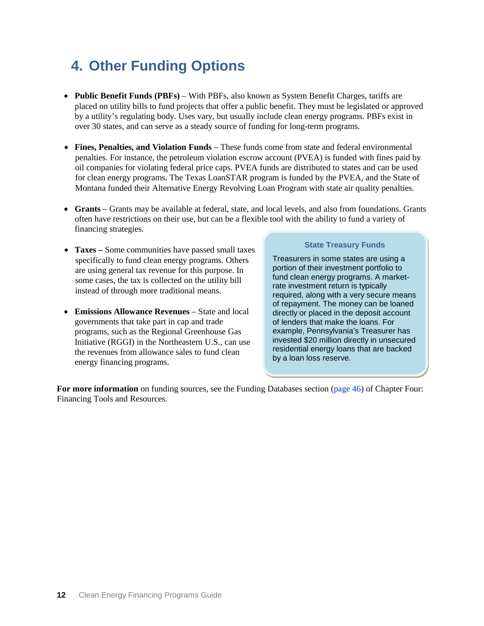# **4. Other Funding Options**

- **Public Benefit Funds (PBFs)**  With PBFs, also known as System Benefit Charges, tariffs are placed on utility bills to fund projects that offer a public benefit. They must be legislated or approved by a utility's regulating body. Uses vary, but usually include clean energy programs. PBFs exist in over 30 states, and can serve as a steady source of funding for long-term programs.
- **Fines, Penalties, and Violation Funds** These funds come from state and federal environmental penalties. For instance, the petroleum violation escrow account (PVEA) is funded with fines paid by oil companies for violating federal price caps. PVEA funds are distributed to states and can be used for clean energy programs. The Texas LoanSTAR program is funded by the PVEA, and the State of Montana funded their Alternative Energy Revolving Loan Program with state air quality penalties.
- **Grants** Grants may be available at federal, state, and local levels, and also from foundations. Grants often have restrictions on their use, but can be a flexible tool with the ability to fund a variety of financing strategies.
- **Taxes** Some communities have passed small taxes specifically to fund clean energy programs. Others are using general tax revenue for this purpose. In some cases, the tax is collected on the utility bill instead of through more traditional means.
- **Emissions Allowance Revenues** State and local governments that take part in cap and trade programs, such as the Regional Greenhouse Gas Initiative (RGGI) in the Northeastern U.S., can use the revenues from allowance sales to fund clean energy financing programs.

#### **State Treasury Funds**

Treasurers in some states are using a portion of their investment portfolio to fund clean energy programs. A marketrate investment return is typically required, along with a very secure means of repayment. The money can be loaned directly or placed in the deposit account of lenders that make the loans. For example, Pennsylvania's Treasurer has invested \$20 million directly in unsecured residential energy loans that are backed by a loan loss reserve.

**For more information** on funding sources, see the Funding Databases section [\(page](#page-51-1) [46\)](#page-51-1) of Chapter Four: Financing Tools and Resources.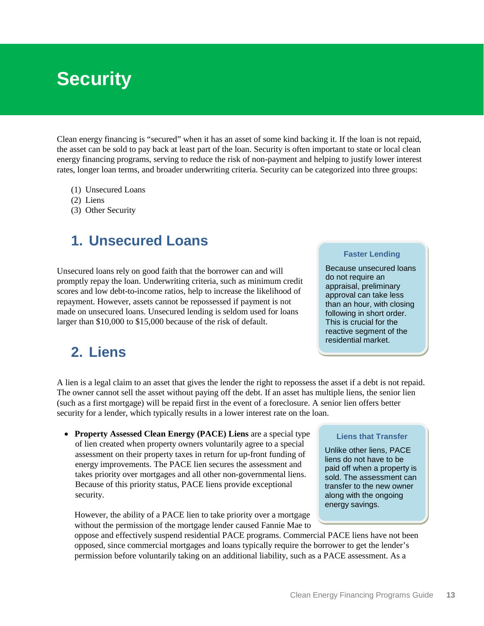# <span id="page-18-1"></span><span id="page-18-0"></span>**Security**

Clean energy financing is "secured" when it has an asset of some kind backing it. If the loan is not repaid, the asset can be sold to pay back at least part of the loan. Security is often important to state or local clean energy financing programs, serving to reduce the risk of non-payment and helping to justify lower interest rates, longer loan terms, and broader underwriting criteria. Security can be categorized into three groups:

- (1) [Unsecured Loans](#page-18-1)
- (2) [Liens](#page-18-2)
- (3) [Other Security](#page-19-0)

### **1. Unsecured Loans**

Unsecured loans rely on good faith that the borrower can and will promptly repay the loan. Underwriting criteria, such as minimum credit scores and low debt-to-income ratios, help to increase the likelihood of repayment. However, assets cannot be repossessed if payment is not made on unsecured loans. Unsecured lending is seldom used for loans larger than \$10,000 to \$15,000 because of the risk of default.

#### **Faster Lending**

Because unsecured loans do not require an appraisal, preliminary approval can take less than an hour, with closing following in short order. This is crucial for the reactive segment of the residential market.

### <span id="page-18-2"></span>**2. Liens**

A lien is a legal claim to an asset that gives the lender the right to repossess the asset if a debt is not repaid. The owner cannot sell the asset without paying off the debt. If an asset has multiple liens, the senior lien (such as a first mortgage) will be repaid first in the event of a foreclosure. A senior lien offers better security for a lender, which typically results in a lower interest rate on the loan.

• **Property Assessed Clean Energy (PACE) Liens** are a special type of lien created when property owners voluntarily agree to a special assessment on their property taxes in return for up-front funding of energy improvements. The PACE lien secures the assessment and takes priority over mortgages and all other non-governmental liens. Because of this priority status, PACE liens provide exceptional security.

However, the ability of a PACE lien to take priority over a mortgage without the permission of the mortgage lender caused Fannie Mae to

oppose and effectively suspend residential PACE programs. Commercial PACE liens have not been opposed, since commercial mortgages and loans typically require the borrower to get the lender's permission before voluntarily taking on an additional liability, such as a PACE assessment. As a

#### **Liens that Transfer**

Unlike other liens, PACE liens do not have to be paid off when a property is sold. The assessment can transfer to the new owner along with the ongoing energy savings.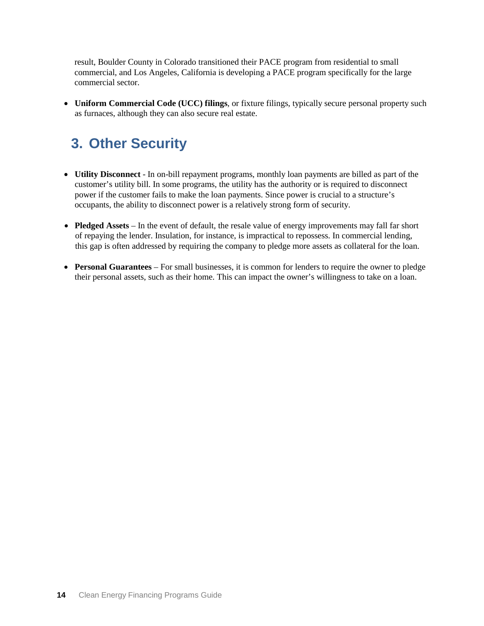result, Boulder County in Colorado transitioned their PACE program from residential to small commercial, and Los Angeles, California is developing a PACE program specifically for the large commercial sector.

• **Uniform Commercial Code (UCC) filings**, or fixture filings, typically secure personal property such as furnaces, although they can also secure real estate.

# <span id="page-19-0"></span>**3. Other Security**

- **Utility Disconnect**  In on-bill repayment programs, monthly loan payments are billed as part of the customer's utility bill. In some programs, the utility has the authority or is required to disconnect power if the customer fails to make the loan payments. Since power is crucial to a structure's occupants, the ability to disconnect power is a relatively strong form of security.
- **Pledged Assets** In the event of default, the resale value of energy improvements may fall far short of repaying the lender. Insulation, for instance, is impractical to repossess. In commercial lending, this gap is often addressed by requiring the company to pledge more assets as collateral for the loan.
- **Personal Guarantees**  For small businesses, it is common for lenders to require the owner to pledge their personal assets, such as their home. This can impact the owner's willingness to take on a loan.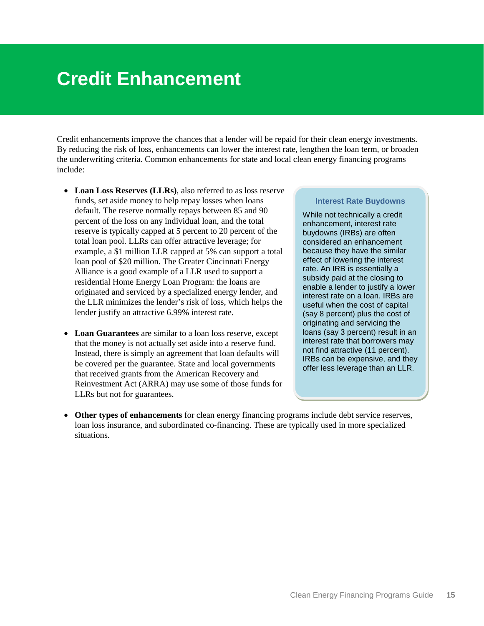# <span id="page-20-1"></span><span id="page-20-0"></span>**Credit Enhancement**

Credit enhancements improve the chances that a lender will be repaid for their clean energy investments. By reducing the risk of loss, enhancements can lower the interest rate, lengthen the loan term, or broaden the underwriting criteria. Common enhancements for state and local clean energy financing programs include:

- **Loan Loss Reserves (LLRs)**, also referred to as loss reserve funds, set aside money to help repay losses when loans default. The reserve normally repays between 85 and 90 percent of the loss on any individual loan, and the total reserve is typically capped at 5 percent to 20 percent of the total loan pool. LLRs can offer attractive leverage; for example, a \$1 million LLR capped at 5% can support a total loan pool of \$20 million. The Greater Cincinnati Energy Alliance is a good example of a LLR used to support a residential Home Energy Loan Program: the loans are originated and serviced by a specialized energy lender, and the LLR minimizes the lender's risk of loss, which helps the lender justify an attractive 6.99% interest rate.
- **Loan Guarantees** are similar to a loan loss reserve, except that the money is not actually set aside into a reserve fund. Instead, there is simply an agreement that loan defaults will be covered per the guarantee. State and local governments that received grants from the American Recovery and Reinvestment Act (ARRA) may use some of those funds for LLRs but not for guarantees.

#### **Interest Rate Buydowns**

While not technically a credit enhancement, interest rate buydowns (IRBs) are often considered an enhancement because they have the similar effect of lowering the interest rate. An IRB is essentially a subsidy paid at the closing to enable a lender to justify a lower interest rate on a loan. IRBs are useful when the cost of capital (say 8 percent) plus the cost of originating and servicing the loans (say 3 percent) result in an interest rate that borrowers may not find attractive (11 percent). IRBs can be expensive, and they offer less leverage than an LLR.

**Other types of enhancements** for clean energy financing programs include debt service reserves, loan loss insurance, and subordinated co-financing. These are typically used in more specialized situations.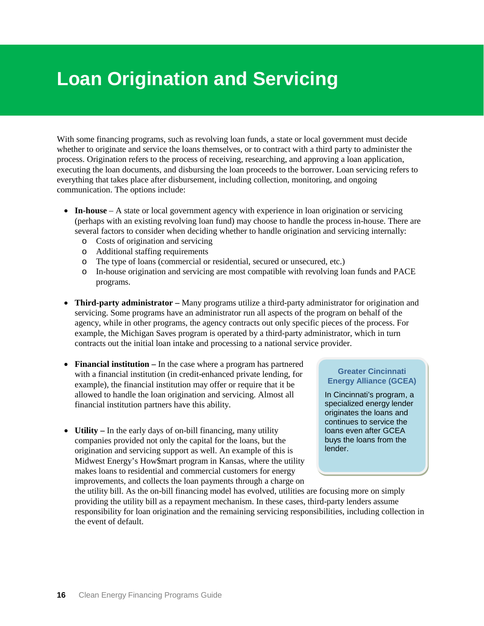# <span id="page-21-0"></span>**Loan Origination and Servicing**

With some financing programs, such as revolving loan funds, a state or local government must decide whether to originate and service the loans themselves, or to contract with a third party to administer the process. Origination refers to the process of receiving, researching, and approving a loan application, executing the loan documents, and disbursing the loan proceeds to the borrower. Loan servicing refers to everything that takes place after disbursement, including collection, monitoring, and ongoing communication. The options include:

- **In-house** A state or local government agency with experience in loan origination or servicing (perhaps with an existing revolving loan fund) may choose to handle the process in-house. There are several factors to consider when deciding whether to handle origination and servicing internally:
	- o Costs of origination and servicing
	- o Additional staffing requirements
	- o The type of loans (commercial or residential, secured or unsecured, etc.)
	- o In-house origination and servicing are most compatible with revolving loan funds and PACE programs.
- **Third-party administrator –** Many programs utilize a third-party administrator for origination and servicing. Some programs have an administrator run all aspects of the program on behalf of the agency, while in other programs, the agency contracts out only specific pieces of the process. For example, the Michigan Saves program is operated by a third-party administrator, which in turn contracts out the initial loan intake and processing to a national service provider.
- **Financial institution –** In the case where a program has partnered with a financial institution (in credit-enhanced private lending, for example), the financial institution may offer or require that it be allowed to handle the loan origination and servicing. Almost all financial institution partners have this ability.

• **Utility –** In the early days of on-bill financing, many utility companies provided not only the capital for the loans, but the origination and servicing support as well. An example of this is Midwest Energy's How\$mart program in Kansas, where the utility makes loans to residential and commercial customers for energy improvements, and collects the loan payments through a charge on

### **Greater Cincinnati Energy Alliance (GCEA)**

In Cincinnati's program, a specialized energy lender originates the loans and continues to service the loans even after GCEA buys the loans from the lender.

the utility bill. As the on-bill financing model has evolved, utilities are focusing more on simply providing the utility bill as a repayment mechanism. In these cases, third-party lenders assume responsibility for loan origination and the remaining servicing responsibilities, including collection in the event of default.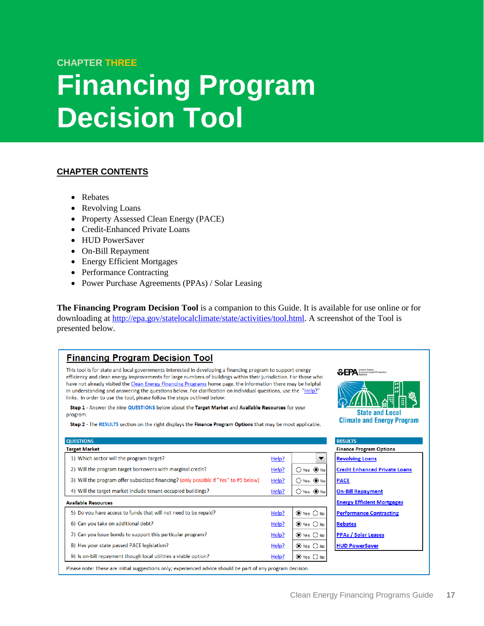### **CHAPTER THREE**

# <span id="page-22-1"></span><span id="page-22-0"></span>**Financing Program Decision Tool**

### **CHAPTER CONTENTS**

• [Rebates](#page-24-1)

**OUESTIONS** 

**Target Market** 

**Available Resources** 

- [Revolving Loans](#page-27-1)
- Property [Assessed Clean Energy \(PACE\)](#page-30-1)
- [Credit-Enhanced Private Loans](#page-33-1)
- [HUD PowerSaver](#page-36-1)
- [On-Bill Repayment](#page-39-1)
- [Energy Efficient Mortgages](#page-42-0)
- [Performance](#page-45-1) Contracting
- [Power Purchase Agreements \(PPAs\) / Solar Leasing](#page-48-0)

**The Financing Program Decision Tool** is a companion to this Guide. It is available for use online or for downloading at [http://epa.gov/statelocalclimate/state/activities/tool.html.](http://epa.gov/statelocalclimate/state/activities/tool.html) A screenshot of the Tool is presented below.

### **Financing Program Decision Tool**

This tool is for state and local governments interested in developing a financing program to support energy efficiency and clean energy improvements for large numbers of buildings within their jurisdiction. For those who have not already visited the Clean Energy Financing Programs home page, the information there may be helpful in understanding and answering the questions below. For clarification on individual questions, use the "Help?" links. In order to use the tool, please follow the steps outlined below:

Step 1 - Answer the nine QUESTIONS below about the Target Market and Available Resources for your program.

Step 2 - The RESULTS section on the right displays the Finance Program Options that may be most applicable.



Please note: These are initial suggestions only; experienced advice should be part of any program decision.

*SEPA United States*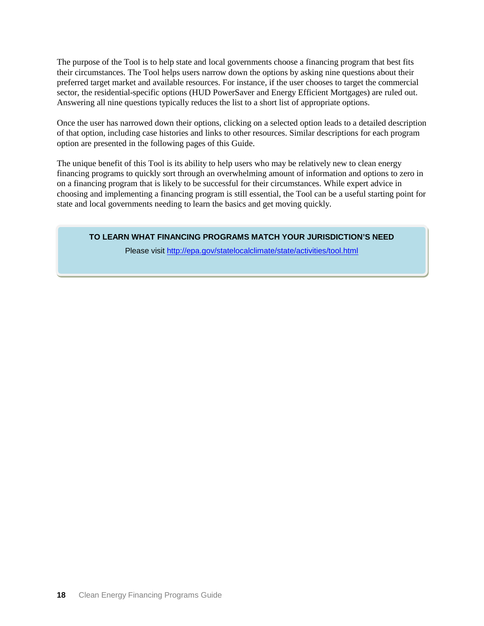The purpose of the Tool is to help state and local governments choose a financing program that best fits their circumstances. The Tool helps users narrow down the options by asking nine questions about their preferred target market and available resources. For instance, if the user chooses to target the commercial sector, the residential-specific options (HUD PowerSaver and Energy Efficient Mortgages) are ruled out. Answering all nine questions typically reduces the list to a short list of appropriate options.

Once the user has narrowed down their options, clicking on a selected option leads to a detailed description of that option, including case histories and links to other resources. Similar descriptions for each program option are presented in the following pages of this Guide.

The unique benefit of this Tool is its ability to help users who may be relatively new to clean energy financing programs to quickly sort through an overwhelming amount of information and options to zero in on a financing program that is likely to be successful for their circumstances. While expert advice in choosing and implementing a financing program is still essential, the Tool can be a useful starting point for state and local governments needing to learn the basics and get moving quickly.

**TO LEARN WHAT FINANCING PROGRAMS MATCH YOUR JURISDICTION'S NEED**

Please visit<http://epa.gov/statelocalclimate/state/activities/tool.html>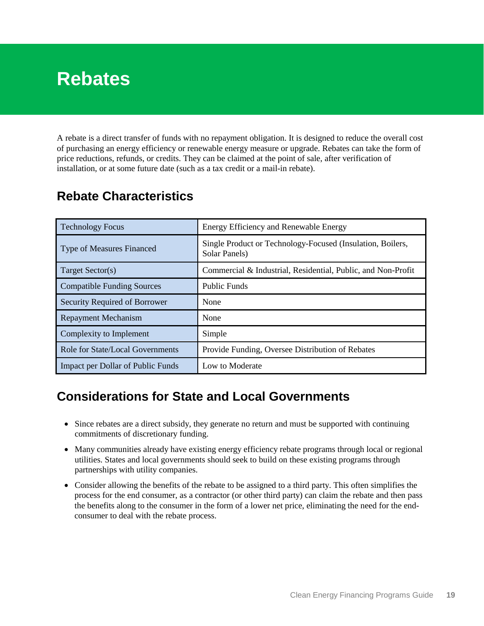# <span id="page-24-1"></span><span id="page-24-0"></span>**Rebates**

A rebate is a direct transfer of funds with no repayment obligation. It is designed to reduce the overall cost of purchasing an energy efficiency or renewable energy measure or upgrade. Rebates can take the form of price reductions, refunds, or credits. They can be claimed at the point of sale, after verification of installation, or at some future date (such as a tax credit or a mail-in rebate).

| <b>Technology Focus</b>           | Energy Efficiency and Renewable Energy                                      |
|-----------------------------------|-----------------------------------------------------------------------------|
| <b>Type of Measures Financed</b>  | Single Product or Technology-Focused (Insulation, Boilers,<br>Solar Panels) |
| Target Sector(s)                  | Commercial & Industrial, Residential, Public, and Non-Profit                |
| <b>Compatible Funding Sources</b> | <b>Public Funds</b>                                                         |
| Security Required of Borrower     | None                                                                        |
| <b>Repayment Mechanism</b>        | None                                                                        |
| Complexity to Implement           | Simple                                                                      |
| Role for State/Local Governments  | Provide Funding, Oversee Distribution of Rebates                            |
| Impact per Dollar of Public Funds | Low to Moderate                                                             |

### **Rebate Characteristics**

### **Considerations for State and Local Governments**

- Since rebates are a direct subsidy, they generate no return and must be supported with continuing commitments of discretionary funding.
- Many communities already have existing energy efficiency rebate programs through local or regional utilities. States and local governments should seek to build on these existing programs through partnerships with utility companies.
- Consider allowing the benefits of the rebate to be assigned to a third party. This often simplifies the process for the end consumer, as a contractor (or other third party) can claim the rebate and then pass the benefits along to the consumer in the form of a lower net price, eliminating the need for the endconsumer to deal with the rebate process.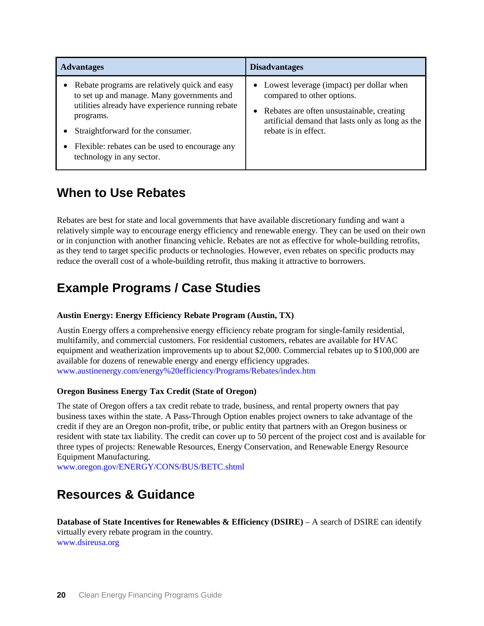| <b>Advantages</b>                                                                                                                                                                                                                                                                | <b>Disadvantages</b>                                                                                                                                                                              |
|----------------------------------------------------------------------------------------------------------------------------------------------------------------------------------------------------------------------------------------------------------------------------------|---------------------------------------------------------------------------------------------------------------------------------------------------------------------------------------------------|
| Rebate programs are relatively quick and easy<br>to set up and manage. Many governments and<br>utilities already have experience running rebate<br>programs.<br>Straightforward for the consumer.<br>Flexible: rebates can be used to encourage any<br>technology in any sector. | • Lowest leverage (impact) per dollar when<br>compared to other options.<br>Rebates are often unsustainable, creating<br>artificial demand that lasts only as long as the<br>rebate is in effect. |

# **When to Use Rebates**

Rebates are best for state and local governments that have available discretionary funding and want a relatively simple way to encourage energy efficiency and renewable energy. They can be used on their own or in conjunction with another financing vehicle. Rebates are not as effective for whole-building retrofits, as they tend to target specific products or technologies. However, even rebates on specific products may reduce the overall cost of a whole-building retrofit, thus making it attractive to borrowers.

# **Example Programs / Case Studies**

### **Austin Energy: Energy Efficiency Rebate Program (Austin, TX)**

Austin Energy offers a comprehensive energy efficiency rebate program for single-family residential, multifamily, and commercial customers. For residential customers, rebates are available for HVAC equipment and weatherization improvements up to about \$2,000. Commercial rebates up to \$100,000 are available for dozens of renewable energy and energy efficiency upgrades. [www.austinenergy.com/energy%20efficiency/Programs/Rebates/index.htm](http://www.austinenergy.com/energy%20efficiency/Programs/Rebates/index.htm)

### **Oregon Business Energy Tax Credit (State of Oregon)**

The state of Oregon offers a tax credit rebate to trade, business, and rental property owners that pay business taxes within the state. A Pass-Through Option enables project owners to take advantage of the credit if they are an Oregon non-profit, tribe, or public entity that partners with an Oregon business or resident with state tax liability. The credit can cover up to 50 percent of the project cost and is available for three types of projects: Renewable Resources, Energy Conservation, and Renewable Energy Resource Equipment Manufacturing.

[www.oregon.gov/ENERGY/CONS/BUS/BETC.shtml](http://www.oregon.gov/ENERGY/CONS/BUS/BETC.shtml)

# **Resources & Guidance**

**Database of State Incentives for Renewables & Efficiency (DSIRE)** – A search of DSIRE can identify virtually every rebate program in the country. [www.dsireusa.org](http://www.dsireusa.org/)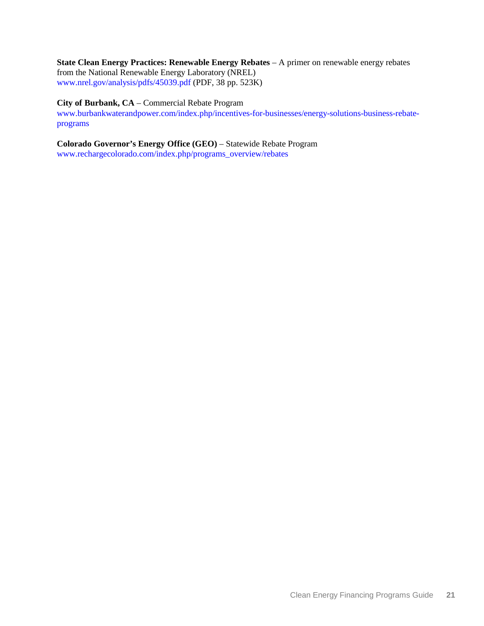**State Clean Energy Practices: Renewable Energy Rebates** – A primer on renewable energy rebates from the National Renewable Energy Laboratory (NREL) [www.nrel.gov/analysis/pdfs/45039.pdf](http://www.nrel.gov/analysis/pdfs/45039.pdf) (PDF, 38 pp. 523K)

### **City of Burbank, CA** – Commercial Rebate Program

[www.burbankwaterandpower.com/index.php/incentives-for-businesses/energy-solutions-business-rebate](http://www.burbankwaterandpower.com/index.php/incentives-for-businesses/energy-solutions-business-rebate-programs)[programs](http://www.burbankwaterandpower.com/index.php/incentives-for-businesses/energy-solutions-business-rebate-programs)

**Colorado Governor's Energy Office (GEO)** – Statewide Rebate Program [www.rechargecolorado.com/index.php/programs\\_overview/rebates](http://www.rechargecolorado.com/index.php/programs_overview/rebates)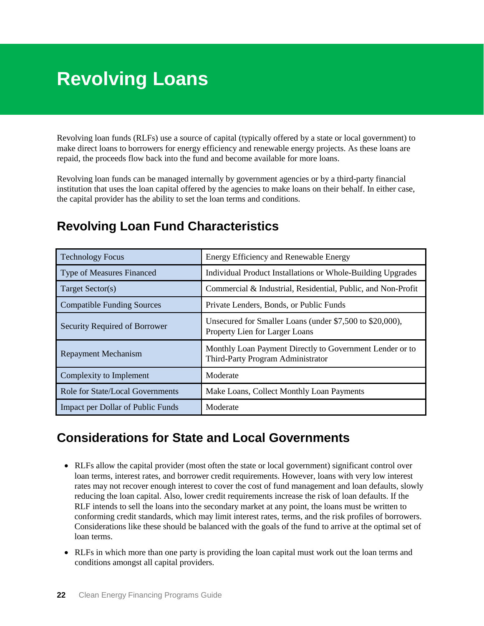# <span id="page-27-1"></span><span id="page-27-0"></span>**Revolving Loans**

Revolving loan funds (RLFs) use a source of capital (typically offered by a state or local government) to make direct loans to borrowers for energy efficiency and renewable energy projects. As these loans are repaid, the proceeds flow back into the fund and become available for more loans.

Revolving loan funds can be managed internally by government agencies or by a third-party financial institution that uses the loan capital offered by the agencies to make loans on their behalf. In either case, the capital provider has the ability to set the loan terms and conditions.

| <b>Technology Focus</b>           | Energy Efficiency and Renewable Energy                                                        |
|-----------------------------------|-----------------------------------------------------------------------------------------------|
| <b>Type of Measures Financed</b>  | Individual Product Installations or Whole-Building Upgrades                                   |
| Target Sector(s)                  | Commercial & Industrial, Residential, Public, and Non-Profit                                  |
| <b>Compatible Funding Sources</b> | Private Lenders, Bonds, or Public Funds                                                       |
| Security Required of Borrower     | Unsecured for Smaller Loans (under \$7,500 to \$20,000),<br>Property Lien for Larger Loans    |
| <b>Repayment Mechanism</b>        | Monthly Loan Payment Directly to Government Lender or to<br>Third-Party Program Administrator |
| Complexity to Implement           | Moderate                                                                                      |
| Role for State/Local Governments  | Make Loans, Collect Monthly Loan Payments                                                     |
| Impact per Dollar of Public Funds | Moderate                                                                                      |

# **Revolving Loan Fund Characteristics**

### **Considerations for State and Local Governments**

- RLFs allow the capital provider (most often the state or local government) significant control over loan terms, interest rates, and borrower credit requirements. However, loans with very low interest rates may not recover enough interest to cover the cost of fund management and loan defaults, slowly reducing the loan capital. Also, lower credit requirements increase the risk of loan defaults. If the RLF intends to sell the loans into the secondary market at any point, the loans must be written to conforming credit standards, which may limit interest rates, terms, and the risk profiles of borrowers. Considerations like these should be balanced with the goals of the fund to arrive at the optimal set of loan terms.
- RLFs in which more than one party is providing the loan capital must work out the loan terms and conditions amongst all capital providers.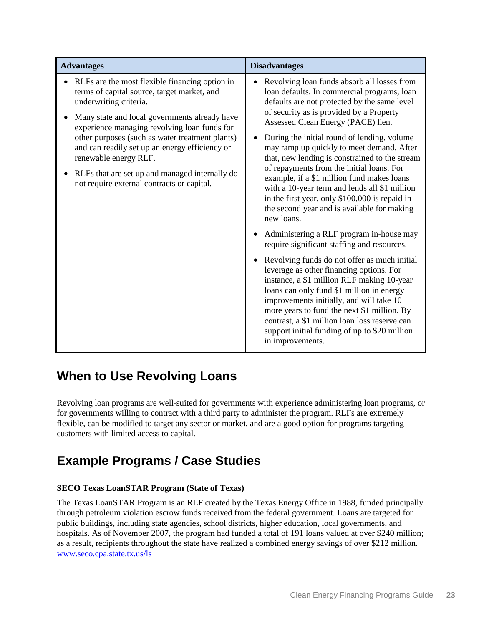| <b>Advantages</b>                                                                                                                                                                                                                                                                                                                                                                                                                                      | <b>Disadvantages</b>                                                                                                                                                                                                                                                                                                                                                                                                                                                                                                                                                                                                                                                                                                                                                                                                                                                                                                                                                                                                                                                                                                                     |
|--------------------------------------------------------------------------------------------------------------------------------------------------------------------------------------------------------------------------------------------------------------------------------------------------------------------------------------------------------------------------------------------------------------------------------------------------------|------------------------------------------------------------------------------------------------------------------------------------------------------------------------------------------------------------------------------------------------------------------------------------------------------------------------------------------------------------------------------------------------------------------------------------------------------------------------------------------------------------------------------------------------------------------------------------------------------------------------------------------------------------------------------------------------------------------------------------------------------------------------------------------------------------------------------------------------------------------------------------------------------------------------------------------------------------------------------------------------------------------------------------------------------------------------------------------------------------------------------------------|
| RLFs are the most flexible financing option in<br>terms of capital source, target market, and<br>underwriting criteria.<br>Many state and local governments already have<br>experience managing revolving loan funds for<br>other purposes (such as water treatment plants)<br>and can readily set up an energy efficiency or<br>renewable energy RLF.<br>RLFs that are set up and managed internally do<br>not require external contracts or capital. | Revolving loan funds absorb all losses from<br>loan defaults. In commercial programs, loan<br>defaults are not protected by the same level<br>of security as is provided by a Property<br>Assessed Clean Energy (PACE) lien.<br>During the initial round of lending, volume<br>may ramp up quickly to meet demand. After<br>that, new lending is constrained to the stream<br>of repayments from the initial loans. For<br>example, if a \$1 million fund makes loans<br>with a 10-year term and lends all \$1 million<br>in the first year, only \$100,000 is repaid in<br>the second year and is available for making<br>new loans.<br>Administering a RLF program in-house may<br>require significant staffing and resources.<br>Revolving funds do not offer as much initial<br>leverage as other financing options. For<br>instance, a \$1 million RLF making 10-year<br>loans can only fund \$1 million in energy<br>improvements initially, and will take 10<br>more years to fund the next \$1 million. By<br>contrast, a \$1 million loan loss reserve can<br>support initial funding of up to \$20 million<br>in improvements. |

### **When to Use Revolving Loans**

Revolving loan programs are well-suited for governments with experience administering loan programs, or for governments willing to contract with a third party to administer the program. RLFs are extremely flexible, can be modified to target any sector or market, and are a good option for programs targeting customers with limited access to capital.

# **Example Programs / Case Studies**

### **SECO Texas LoanSTAR Program (State of Texas)**

The Texas LoanSTAR Program is an RLF created by the Texas Energy Office in 1988, funded principally through petroleum violation escrow funds received from the federal government. Loans are targeted for public buildings, including state agencies, school districts, higher education, local governments, and hospitals. As of November 2007, the program had funded a total of 191 loans valued at over \$240 million; as a result, recipients throughout the state have realized a combined energy savings of over \$212 million. [www.seco.cpa.state.tx.us/ls](http://www.seco.cpa.state.tx.us/ls)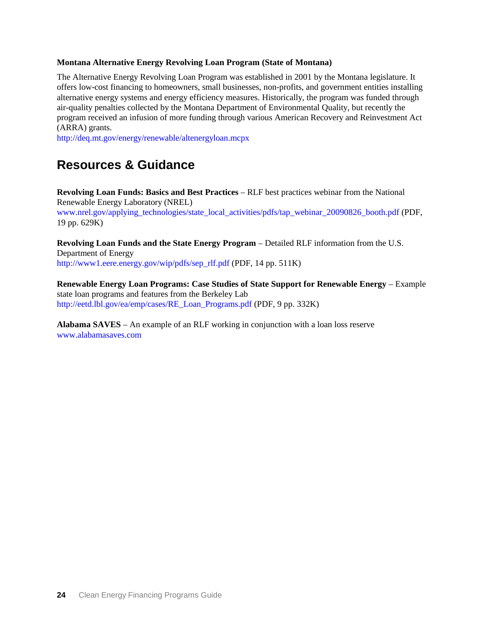#### **Montana Alternative Energy Revolving Loan Program (State of Montana)**

The Alternative Energy Revolving Loan Program was established in 2001 by the Montana legislature. It offers low-cost financing to homeowners, small businesses, non-profits, and government entities installing alternative energy systems and energy efficiency measures. Historically, the program was funded through air-quality penalties collected by the Montana Department of Environmental Quality, but recently the program received an infusion of more funding through various American Recovery and Reinvestment Act (ARRA) grants.

<http://deq.mt.gov/energy/renewable/altenergyloan.mcpx>

### **Resources & Guidance**

**Revolving Loan Funds: Basics and Best Practices** – RLF best practices webinar from the National Renewable Energy Laboratory (NREL) [www.nrel.gov/applying\\_technologies/state\\_local\\_activities/pdfs/tap\\_webinar\\_20090826\\_booth.pdf](http://www.nrel.gov/applying_technologies/state_local_activities/pdfs/tap_webinar_20090826_booth.pdf) (PDF, 19 pp. 629K)

**Revolving Loan Funds and the State Energy Program** – Detailed RLF information from the U.S. Department of Energy [http://www1.eere.energy.gov/wip/pdfs/sep\\_rlf.pdf](http://www1.eere.energy.gov/wip/pdfs/sep_rlf.pdf) (PDF, 14 pp. 511K)

**Renewable Energy Loan Programs: Case Studies of State Support for Renewable Energy** – Example state loan programs and features from the Berkeley Lab [http://eetd.lbl.gov/ea/emp/cases/RE\\_Loan\\_Programs.pdf](http://eetd.lbl.gov/ea/emp/cases/RE_Loan_Programs.pdf) (PDF, 9 pp. 332K)

**Alabama SAVES** – An example of an RLF working in conjunction with a loan loss reserve [www.alabamasaves.com](http://www.alabamasaves.com/)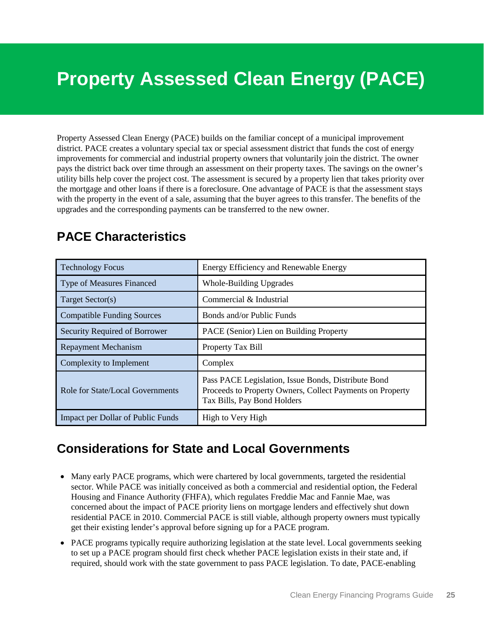# <span id="page-30-1"></span><span id="page-30-0"></span>**Property Assessed Clean Energy (PACE)**

Property Assessed Clean Energy (PACE) builds on the familiar concept of a municipal improvement district. PACE creates a voluntary special tax or special assessment district that funds the cost of energy improvements for commercial and industrial property owners that voluntarily join the district. The owner pays the district back over time through an assessment on their property taxes. The savings on the owner's utility bills help cover the project cost. The assessment is secured by a property lien that takes priority over the mortgage and other loans if there is a foreclosure. One advantage of PACE is that the assessment stays with the property in the event of a sale, assuming that the buyer agrees to this transfer. The benefits of the upgrades and the corresponding payments can be transferred to the new owner.

| <b>Technology Focus</b>                  | <b>Energy Efficiency and Renewable Energy</b>                                                                                                   |
|------------------------------------------|-------------------------------------------------------------------------------------------------------------------------------------------------|
| <b>Type of Measures Financed</b>         | <b>Whole-Building Upgrades</b>                                                                                                                  |
| Target Sector(s)                         | Commercial & Industrial                                                                                                                         |
| <b>Compatible Funding Sources</b>        | Bonds and/or Public Funds                                                                                                                       |
| <b>Security Required of Borrower</b>     | PACE (Senior) Lien on Building Property                                                                                                         |
| <b>Repayment Mechanism</b>               | Property Tax Bill                                                                                                                               |
| Complexity to Implement                  | Complex                                                                                                                                         |
| Role for State/Local Governments         | Pass PACE Legislation, Issue Bonds, Distribute Bond<br>Proceeds to Property Owners, Collect Payments on Property<br>Tax Bills, Pay Bond Holders |
| <b>Impact per Dollar of Public Funds</b> | High to Very High                                                                                                                               |

### **PACE Characteristics**

### **Considerations for State and Local Governments**

- Many early PACE programs, which were chartered by local governments, targeted the residential sector. While PACE was initially conceived as both a commercial and residential option, the Federal Housing and Finance Authority (FHFA), which regulates Freddie Mac and Fannie Mae, was concerned about the impact of PACE priority liens on mortgage lenders and effectively shut down residential PACE in 2010. Commercial PACE is still viable, although property owners must typically get their existing lender's approval before signing up for a PACE program.
- PACE programs typically require authorizing legislation at the state level. Local governments seeking to set up a PACE program should first check whether PACE legislation exists in their state and, if required, should work with the state government to pass PACE legislation. To date, PACE-enabling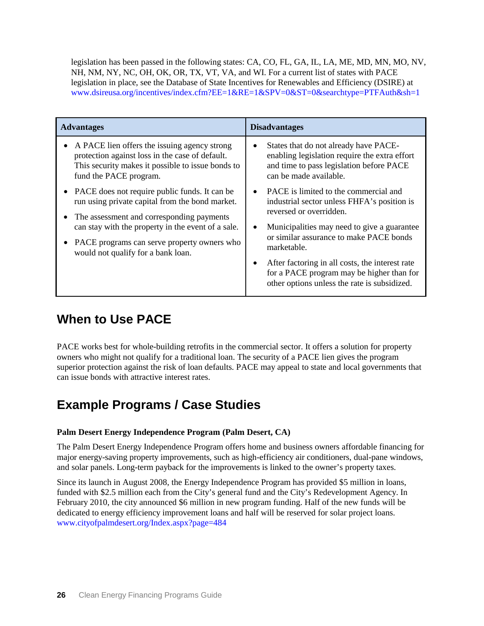legislation has been passed in the following states: CA, CO, FL, GA, IL, LA, ME, MD, MN, MO, NV, NH, NM, NY, NC, OH, OK, OR, TX, VT, VA, and WI. For a current list of states with PACE legislation in place, see the [Database of State Incentives for Renewables and Efficiency \(DSIRE\)](http://www.dsireusa.org/incentives/index.cfm?EE=1&RE=1&SPV=0&ST=0&searchtype=PTFAuth&sh=1) at [www.dsireusa.org/incentives/index.cfm?EE=1&RE=1&SPV=0&ST=0&searchtype=PTFAuth&sh=1](http://www.dsireusa.org/incentives/index.cfm?EE=1&RE=1&SPV=0&ST=0&searchtype=PTFAuth&sh=1)

| <b>Advantages</b>                                                                                                                                                                                                                                                                              | <b>Disadvantages</b>                                                                                                                                                                                                                                                        |
|------------------------------------------------------------------------------------------------------------------------------------------------------------------------------------------------------------------------------------------------------------------------------------------------|-----------------------------------------------------------------------------------------------------------------------------------------------------------------------------------------------------------------------------------------------------------------------------|
| • A PACE lien offers the issuing agency strong<br>protection against loss in the case of default.<br>This security makes it possible to issue bonds to<br>fund the PACE program.                                                                                                               | States that do not already have PACE-<br>enabling legislation require the extra effort<br>and time to pass legislation before PACE<br>can be made available.                                                                                                                |
| • PACE does not require public funds. It can be<br>run using private capital from the bond market.<br>• The assessment and corresponding payments<br>can stay with the property in the event of a sale.<br>• PACE programs can serve property owners who<br>would not qualify for a bank loan. | PACE is limited to the commercial and<br>industrial sector unless FHFA's position is<br>reversed or overridden.<br>Municipalities may need to give a guarantee<br>or similar assurance to make PACE bonds<br>marketable.<br>After factoring in all costs, the interest rate |
|                                                                                                                                                                                                                                                                                                | for a PACE program may be higher than for<br>other options unless the rate is subsidized.                                                                                                                                                                                   |

# **When to Use PACE**

PACE works best for whole-building retrofits in the commercial sector. It offers a solution for property owners who might not qualify for a traditional loan. The security of a PACE lien gives the program superior protection against the risk of loan defaults. PACE may appeal to state and local governments that can issue bonds with attractive interest rates.

# **Example Programs / Case Studies**

### **Palm Desert Energy Independence Program (Palm Desert, CA)**

The Palm Desert Energy Independence Program offers home and business owners affordable financing for major energy-saving property improvements, such as high-efficiency air conditioners, dual-pane windows, and solar panels. Long-term payback for the improvements is linked to the owner's property taxes.

Since its launch in August 2008, the Energy Independence Program has provided \$5 million in loans, funded with \$2.5 million each from the City's general fund and the City's Redevelopment Agency. In February 2010, the city announced \$6 million in new program funding. Half of the new funds will be dedicated to energy efficiency improvement loans and half will be reserved for solar project loans. [www.cityofpalmdesert.org/Index.aspx?page=484](http://www.cityofpalmdesert.org/Index.aspx?page=484)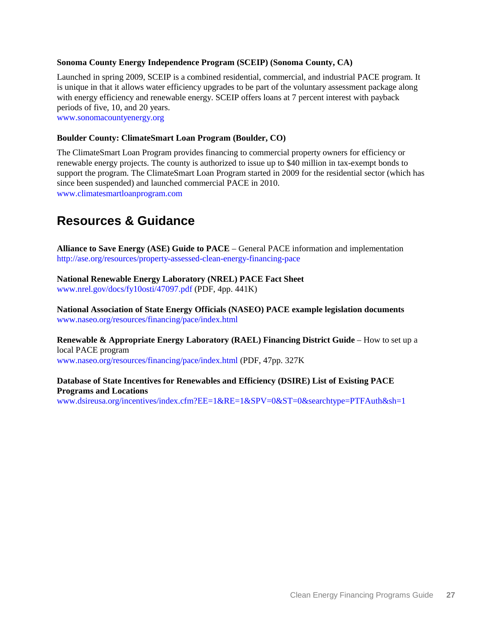#### **Sonoma County Energy Independence Program (SCEIP) (Sonoma County, CA)**

Launched in spring 2009, SCEIP is a combined residential, commercial, and industrial PACE program. It is unique in that it allows water efficiency upgrades to be part of the voluntary assessment package along with energy efficiency and renewable energy. SCEIP offers loans at 7 percent interest with payback periods of five, 10, and 20 years. [www.sonomacountyenergy.org](http://www.sonomacountyenergy.org/)

#### **Boulder County: ClimateSmart Loan Program (Boulder, CO)**

The ClimateSmart Loan Program provides financing to commercial property owners for efficiency or renewable energy projects. The county is authorized to issue up to \$40 million in tax-exempt bonds to support the program. The ClimateSmart Loan Program started in 2009 for the residential sector (which has since been suspended) and launched commercial PACE in 2010. [www.climatesmartloanprogram.com](http://www.climatesmartloanprogram.com/)

### **Resources & Guidance**

**Alliance to Save Energy (ASE) Guide to PACE** – General PACE information and implementation <http://ase.org/resources/property-assessed-clean-energy-financing-pace>

**National Renewable Energy Laboratory [\(NREL\) PACE Fact Sheet](http://www.nrel.gov/docs/fy10osti/47097.pdf)** [www.nrel.gov/docs/fy10osti/47097.pdf](http://www.nrel.gov/docs/fy10osti/47097.pdf) (PDF, 4pp. 441K)

**National Association of State Energy Officials [\(NASEO\) PACE example legislation documents](http://www.naseo.org/resources/financing/pace/index.html)** [www.naseo.org/resources/financing/pace/index.html](http://www.naseo.org/resources/financing/pace/index.html)

**Renewable & Appropriate Energy Laboratory (RAEL) Financing District Guide** – How to set up a local PACE program [www.naseo.org/resources/financing/pace/index.html](http://www.naseo.org/resources/financing/pace/index.html) (PDF, 47pp. 327K

### **Database of State Incentives for Renewables and Efficiency [\(DSIRE\) List of Existing PACE](http://www.dsireusa.org/incentives/index.cfm?EE=1&RE=1&SPV=0&ST=0&searchtype=PTFAuth&sh=1)  [Programs and Locations](http://www.dsireusa.org/incentives/index.cfm?EE=1&RE=1&SPV=0&ST=0&searchtype=PTFAuth&sh=1)**

[www.dsireusa.org/incentives/index.cfm?EE=1&RE=1&SPV=0&ST=0&searchtype=PTFAuth&sh=1](http://www.dsireusa.org/incentives/index.cfm?EE=1&RE=1&SPV=0&ST=0&searchtype=PTFAuth&sh=1)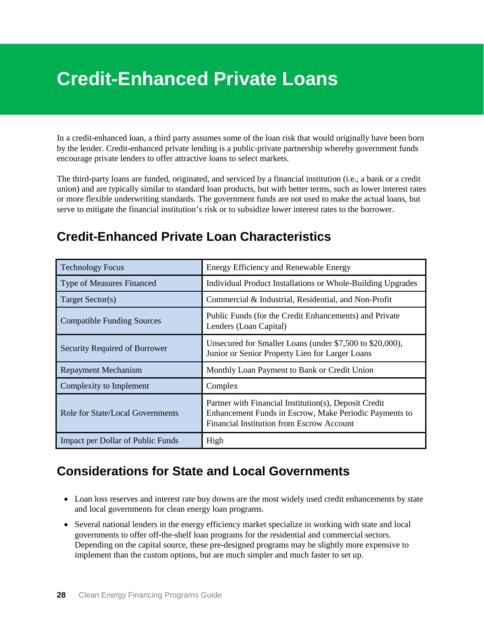# <span id="page-33-1"></span><span id="page-33-0"></span>**Credit-Enhanced Private Loans**

In a credit-enhanced loan, a third party assumes some of the loan risk that would originally have been born by the lender. Credit-enhanced private lending is a public-private partnership whereby government funds encourage private lenders to offer attractive loans to select markets.

The third-party loans are funded, originated, and serviced by a financial institution (i.e., a bank or a credit union) and are typically similar to standard loan products, but with better terms, such as lower interest rates or more flexible underwriting standards. The government funds are not used to make the actual loans, but serve to mitigate the financial institution's risk or to subsidize lower interest rates to the borrower.

### **Credit-Enhanced Private Loan Characteristics**

| <b>Technology Focus</b>           | Energy Efficiency and Renewable Energy                                                                                                                       |
|-----------------------------------|--------------------------------------------------------------------------------------------------------------------------------------------------------------|
| <b>Type of Measures Financed</b>  | Individual Product Installations or Whole-Building Upgrades                                                                                                  |
| Target Sector(s)                  | Commercial & Industrial, Residential, and Non-Profit                                                                                                         |
| <b>Compatible Funding Sources</b> | Public Funds (for the Credit Enhancements) and Private<br>Lenders (Loan Capital)                                                                             |
| Security Required of Borrower     | Unsecured for Smaller Loans (under \$7,500 to \$20,000),<br>Junior or Senior Property Lien for Larger Loans                                                  |
| <b>Repayment Mechanism</b>        | Monthly Loan Payment to Bank or Credit Union                                                                                                                 |
| Complexity to Implement           | Complex                                                                                                                                                      |
| Role for State/Local Governments  | Partner with Financial Institution(s), Deposit Credit<br>Enhancement Funds in Escrow, Make Periodic Payments to<br>Financial Institution from Escrow Account |
| Impact per Dollar of Public Funds | High                                                                                                                                                         |

### **Considerations for State and Local Governments**

- Loan loss reserves and interest rate buy downs are the most widely used credit enhancements by state and local governments for clean energy loan programs.
- Several national lenders in the energy efficiency market specialize in working with state and local governments to offer off-the-shelf loan programs for the residential and commercial sectors. Depending on the capital source, these pre-designed programs may be slightly more expensive to implement than the custom options, but are much simpler and much faster to set up.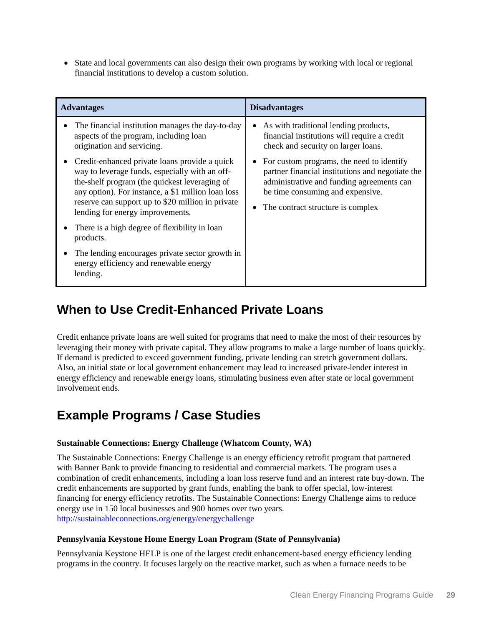• State and local governments can also design their own programs by working with local or regional financial institutions to develop a custom solution.

| <b>Advantages</b>                                                                                                                                                                                                                                                                               | <b>Disadvantages</b>                                                                                                                                                                                                |
|-------------------------------------------------------------------------------------------------------------------------------------------------------------------------------------------------------------------------------------------------------------------------------------------------|---------------------------------------------------------------------------------------------------------------------------------------------------------------------------------------------------------------------|
| The financial institution manages the day-to-day<br>aspects of the program, including loan<br>origination and servicing.                                                                                                                                                                        | As with traditional lending products,<br>financial institutions will require a credit<br>check and security on larger loans.                                                                                        |
| Credit-enhanced private loans provide a quick<br>way to leverage funds, especially with an off-<br>the-shelf program (the quickest leveraging of<br>any option). For instance, a \$1 million loan loss<br>reserve can support up to \$20 million in private<br>lending for energy improvements. | For custom programs, the need to identify<br>partner financial institutions and negotiate the<br>administrative and funding agreements can<br>be time consuming and expensive.<br>The contract structure is complex |
| There is a high degree of flexibility in loan<br>products.                                                                                                                                                                                                                                      |                                                                                                                                                                                                                     |
| The lending encourages private sector growth in<br>energy efficiency and renewable energy<br>lending.                                                                                                                                                                                           |                                                                                                                                                                                                                     |

# **When to Use Credit-Enhanced Private Loans**

Credit enhance private loans are well suited for programs that need to make the most of their resources by leveraging their money with private capital. They allow programs to make a large number of loans quickly. If demand is predicted to exceed government funding, private lending can stretch government dollars. Also, an initial state or local government enhancement may lead to increased private-lender interest in energy efficiency and renewable energy loans, stimulating business even after state or local government involvement ends.

# **Example Programs / Case Studies**

### **Sustainable Connections: Energy Challenge (Whatcom County, WA)**

The Sustainable Connections: Energy Challenge is an energy efficiency retrofit program that partnered with Banner Bank to provide financing to residential and commercial markets. The program uses a combination of credit enhancements, including a loan loss reserve fund and an interest rate buy-down. The credit enhancements are supported by grant funds, enabling the bank to offer special, low-interest financing for energy efficiency retrofits. The Sustainable Connections: Energy Challenge aims to reduce energy use in 150 local businesses and 900 homes over two years. <http://sustainableconnections.org/energy/energychallenge>

### **Pennsylvania Keystone Home Energy Loan Program (State of Pennsylvania)**

Pennsylvania Keystone HELP is one of the largest credit enhancement-based energy efficiency lending programs in the country. It focuses largely on the reactive market, such as when a furnace needs to be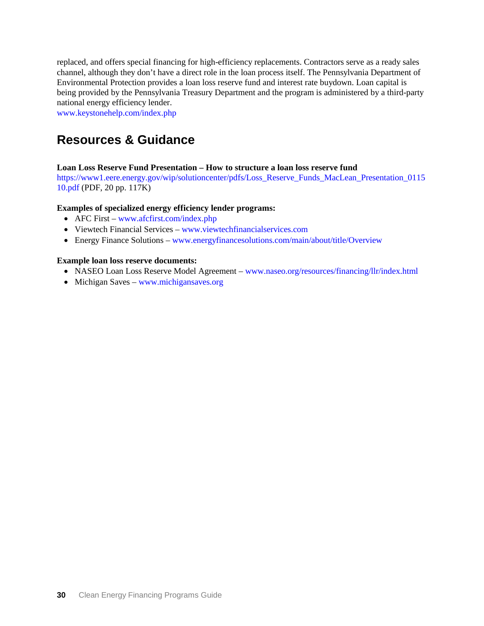replaced, and offers special financing for high-efficiency replacements. Contractors serve as a ready sales channel, although they don't have a direct role in the loan process itself. The Pennsylvania Department of Environmental Protection provides a loan loss reserve fund and interest rate buydown. Loan capital is being provided by the Pennsylvania Treasury Department and the program is administered by a third-party national energy efficiency lender.

[www.keystonehelp.com/index.php](http://www.keystonehelp.com/index.php)

### **Resources & Guidance**

### **Loan Loss Reserve Fund Presentation – How to structure a loan loss reserve fund**

[https://www1.eere.energy.gov/wip/solutioncenter/pdfs/Loss\\_Reserve\\_Funds\\_MacLean\\_Presentation\\_0115](https://www1.eere.energy.gov/wip/solutioncenter/pdfs/Loss_Reserve_Funds_MacLean_Presentation_011510.pdf) [10.pdf](https://www1.eere.energy.gov/wip/solutioncenter/pdfs/Loss_Reserve_Funds_MacLean_Presentation_011510.pdf) (PDF, 20 pp. 117K)

### **Examples of specialized energy efficiency lender programs:**

- [AFC First](http://www.afcfirst.com/index.php) [www.afcfirst.com/index.php](http://www.afcfirst.com/index.php)
- [Viewtech Financial Services](http://www.viewtechfinancialservices.com/) [www.viewtechfinancialservices.com](http://www.viewtechfinancialservices.com/)
- [Energy Finance Solutions](http://www.energyfinancesolutions.com/main/about/title/Overview) [www.energyfinancesolutions.com/main/about/title/Overview](http://www.energyfinancesolutions.com/main/about/title/Overview)

### **Example loan loss reserve documents:**

- [NASEO Loan Loss Reserve Model Agreement](http://www.naseo.org/resources/financing/llr/index.html) [www.naseo.org/resources/financing/llr/index.html](http://www.naseo.org/resources/financing/llr/index.html)
- [Michigan Saves](http://www.michigansaves.org/) [www.michigansaves.org](http://www.michigansaves.org/)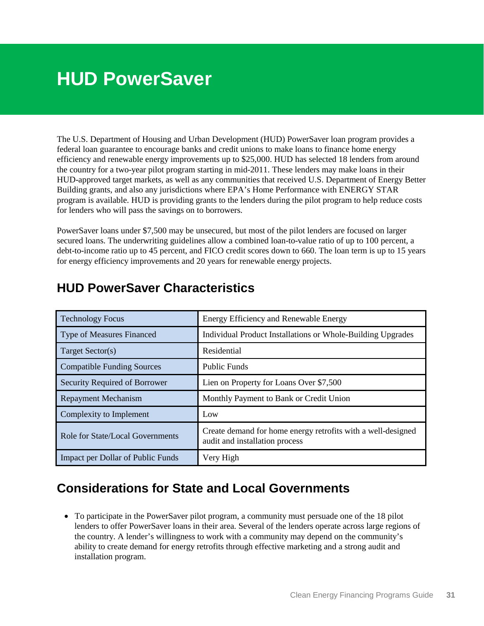# <span id="page-36-1"></span><span id="page-36-0"></span>**HUD PowerSaver**

The U.S. Department of Housing and Urban Development (HUD) PowerSaver loan program provides a federal loan guarantee to encourage banks and credit unions to make loans to finance home energy efficiency and renewable energy improvements up to \$25,000. HUD has selected 18 lenders from around the country for a two-year pilot program starting in mid-2011. These lenders may make loans in their HUD-approved target markets, as well as any communities that received U.S. Department of Energy Better Building grants, and also any jurisdictions where EPA's Home Performance with ENERGY STAR program is available. HUD is providing grants to the lenders during the pilot program to help reduce costs for lenders who will pass the savings on to borrowers.

PowerSaver loans under \$7,500 may be unsecured, but most of the pilot lenders are focused on larger secured loans. The underwriting guidelines allow a combined loan-to-value ratio of up to 100 percent, a debt-to-income ratio up to 45 percent, and FICO credit scores down to 660. The loan term is up to 15 years for energy efficiency improvements and 20 years for renewable energy projects.

| <b>Technology Focus</b>                 | Energy Efficiency and Renewable Energy                                                         |
|-----------------------------------------|------------------------------------------------------------------------------------------------|
| Type of Measures Financed               | Individual Product Installations or Whole-Building Upgrades                                    |
| Target Sector(s)                        | Residential                                                                                    |
| <b>Compatible Funding Sources</b>       | <b>Public Funds</b>                                                                            |
| <b>Security Required of Borrower</b>    | Lien on Property for Loans Over \$7,500                                                        |
| <b>Repayment Mechanism</b>              | Monthly Payment to Bank or Credit Union                                                        |
| Complexity to Implement                 | Low                                                                                            |
| <b>Role for State/Local Governments</b> | Create demand for home energy retrofits with a well-designed<br>audit and installation process |
| Impact per Dollar of Public Funds       | Very High                                                                                      |

### **HUD PowerSaver Characteristics**

### **Considerations for State and Local Governments**

• To participate in the PowerSaver pilot program, a community must persuade one of the 18 pilot lenders to offer PowerSaver loans in their area. Several of the lenders operate across large regions of the country. A lender's willingness to work with a community may depend on the community's ability to create demand for energy retrofits through effective marketing and a strong audit and installation program.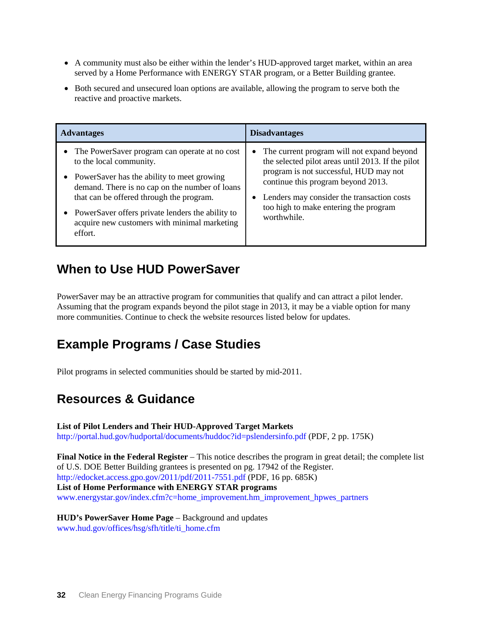- A community must also be either within the lender's HUD-approved target market, within an area served by a Home Performance with ENERGY STAR program, or a Better Building grantee.
- Both secured and unsecured loan options are available, allowing the program to serve both the reactive and proactive markets.

| <b>Advantages</b>                                                                                                                                                                                                                                                                                                                   | <b>Disadvantages</b>                                                                                                                                                                                                                                                                  |
|-------------------------------------------------------------------------------------------------------------------------------------------------------------------------------------------------------------------------------------------------------------------------------------------------------------------------------------|---------------------------------------------------------------------------------------------------------------------------------------------------------------------------------------------------------------------------------------------------------------------------------------|
| The PowerSaver program can operate at no cost<br>to the local community.<br>PowerSaver has the ability to meet growing<br>demand. There is no cap on the number of loans<br>that can be offered through the program.<br>PowerSaver offers private lenders the ability to<br>acquire new customers with minimal marketing<br>effort. | The current program will not expand beyond<br>the selected pilot areas until 2013. If the pilot<br>program is not successful, HUD may not<br>continue this program beyond 2013.<br>Lenders may consider the transaction costs<br>too high to make entering the program<br>worthwhile. |

### **When to Use HUD PowerSaver**

PowerSaver may be an attractive program for communities that qualify and can attract a pilot lender. Assuming that the program expands beyond the pilot stage in 2013, it may be a viable option for many more communities. Continue to check the website resources listed below for updates.

### **Example Programs / Case Studies**

Pilot programs in selected communities should be started by mid-2011.

# **Resources & Guidance**

**List of Pilot Lenders and Their HUD-Approved Target Markets**  <http://portal.hud.gov/hudportal/documents/huddoc?id=pslendersinfo.pdf> (PDF, 2 pp. 175K)

**Final Notice in the Federal Register** – This notice describes the program in great detail; the complete list of U.S. DOE Better Building grantees is presented on pg. 17942 of the Register. <http://edocket.access.gpo.gov/2011/pdf/2011-7551.pdf> (PDF, 16 pp. 685K) **List of Home Performance with ENERGY STAR programs**  [www.energystar.gov/index.cfm?c=home\\_improvement.hm\\_improvement\\_hpwes\\_partners](http://www.energystar.gov/index.cfm?c=home_improvement.hm_improvement_hpwes_partners) 

**HUD's PowerSaver Home Page** – Background and updates [www.hud.gov/offices/hsg/sfh/title/ti\\_home.cfm](http://www.hud.gov/offices/hsg/sfh/title/ti_home.cfm)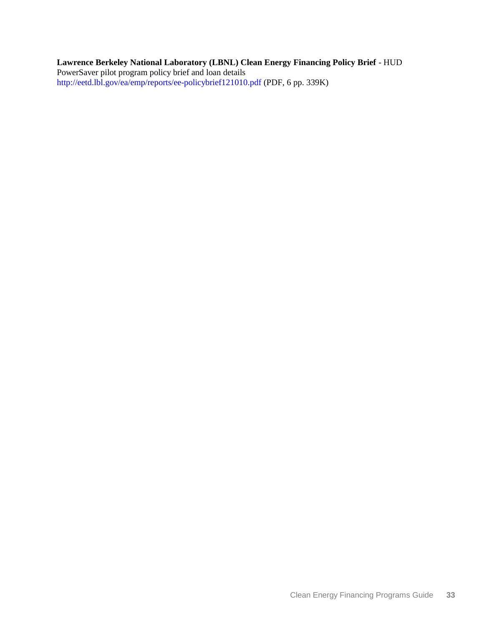### **Lawrence Berkeley National Laboratory (LBNL) Clean Energy Financing Policy Brief** - HUD PowerSaver pilot program policy brief and loan details <http://eetd.lbl.gov/ea/emp/reports/ee-policybrief121010.pdf> (PDF, 6 pp. 339K)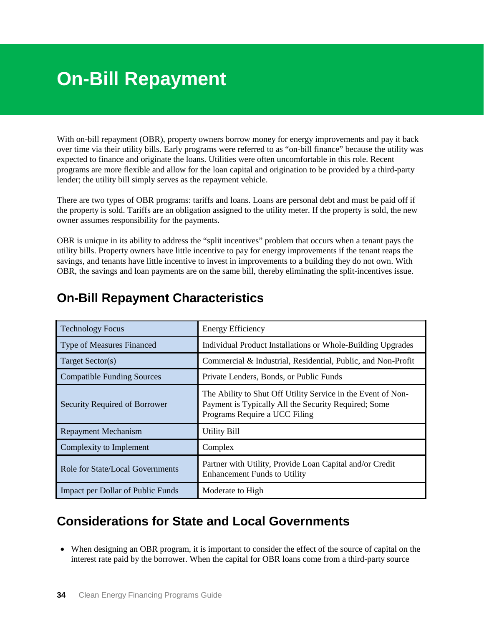# <span id="page-39-1"></span><span id="page-39-0"></span>**On-Bill Repayment**

With on-bill repayment (OBR), property owners borrow money for energy improvements and pay it back over time via their utility bills. Early programs were referred to as "on-bill finance" because the utility was expected to finance and originate the loans. Utilities were often uncomfortable in this role. Recent programs are more flexible and allow for the loan capital and origination to be provided by a third-party lender; the utility bill simply serves as the repayment vehicle.

There are two types of OBR programs: tariffs and loans. Loans are personal debt and must be paid off if the property is sold. Tariffs are an obligation assigned to the utility meter. If the property is sold, the new owner assumes responsibility for the payments.

OBR is unique in its ability to address the "split incentives" problem that occurs when a tenant pays the utility bills. Property owners have little incentive to pay for energy improvements if the tenant reaps the savings, and tenants have little incentive to invest in improvements to a building they do not own. With OBR, the savings and loan payments are on the same bill, thereby eliminating the split-incentives issue.

| <b>Technology Focus</b>           | <b>Energy Efficiency</b>                                                                                                                              |
|-----------------------------------|-------------------------------------------------------------------------------------------------------------------------------------------------------|
| <b>Type of Measures Financed</b>  | Individual Product Installations or Whole-Building Upgrades                                                                                           |
| Target Sector(s)                  | Commercial & Industrial, Residential, Public, and Non-Profit                                                                                          |
| <b>Compatible Funding Sources</b> | Private Lenders, Bonds, or Public Funds                                                                                                               |
| Security Required of Borrower     | The Ability to Shut Off Utility Service in the Event of Non-<br>Payment is Typically All the Security Required; Some<br>Programs Require a UCC Filing |
| <b>Repayment Mechanism</b>        | <b>Utility Bill</b>                                                                                                                                   |
| Complexity to Implement           | Complex                                                                                                                                               |
| Role for State/Local Governments  | Partner with Utility, Provide Loan Capital and/or Credit<br><b>Enhancement Funds to Utility</b>                                                       |
| Impact per Dollar of Public Funds | Moderate to High                                                                                                                                      |

### **On-Bill Repayment Characteristics**

# **Considerations for State and Local Governments**

• When designing an OBR program, it is important to consider the effect of the source of capital on the interest rate paid by the borrower. When the capital for OBR loans come from a third-party source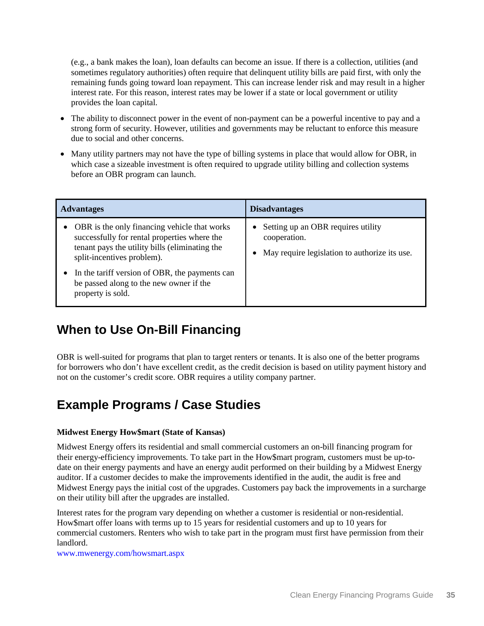(e.g., a bank makes the loan), loan defaults can become an issue. If there is a collection, utilities (and sometimes regulatory authorities) often require that delinquent utility bills are paid first, with only the remaining funds going toward loan repayment. This can increase lender risk and may result in a higher interest rate. For this reason, interest rates may be lower if a state or local government or utility provides the loan capital.

- The ability to disconnect power in the event of non-payment can be a powerful incentive to pay and a strong form of security. However, utilities and governments may be reluctant to enforce this measure due to social and other concerns.
- Many utility partners may not have the type of billing systems in place that would allow for OBR, in which case a sizeable investment is often required to upgrade utility billing and collection systems before an OBR program can launch.

| <b>Advantages</b>                                                                                                                                                            | <b>Disadvantages</b>                                                                                |
|------------------------------------------------------------------------------------------------------------------------------------------------------------------------------|-----------------------------------------------------------------------------------------------------|
| OBR is the only financing vehicle that works<br>successfully for rental properties where the<br>tenant pays the utility bills (eliminating the<br>split-incentives problem). | Setting up an OBR requires utility<br>cooperation.<br>May require legislation to authorize its use. |
| In the tariff version of OBR, the payments can<br>be passed along to the new owner if the<br>property is sold.                                                               |                                                                                                     |

# **When to Use On-Bill Financing**

OBR is well-suited for programs that plan to target renters or tenants. It is also one of the better programs for borrowers who don't have excellent credit, as the credit decision is based on utility payment history and not on the customer's credit score. OBR requires a utility company partner.

# **Example Programs / Case Studies**

### **Midwest Energy How\$mart (State of Kansas)**

Midwest Energy offers its residential and small commercial customers an on-bill financing program for their energy-efficiency improvements. To take part in the How\$mart program, customers must be up-todate on their energy payments and have an energy audit performed on their building by a Midwest Energy auditor. If a customer decides to make the improvements identified in the audit, the audit is free and Midwest Energy pays the initial cost of the upgrades. Customers pay back the improvements in a surcharge on their utility bill after the upgrades are installed.

Interest rates for the program vary depending on whether a customer is residential or non-residential. How\$mart offer loans with terms up to 15 years for residential customers and up to 10 years for commercial customers. Renters who wish to take part in the program must first have permission from their landlord.

[www.mwenergy.com/howsmart.aspx](http://www.mwenergy.com/howsmart.aspx)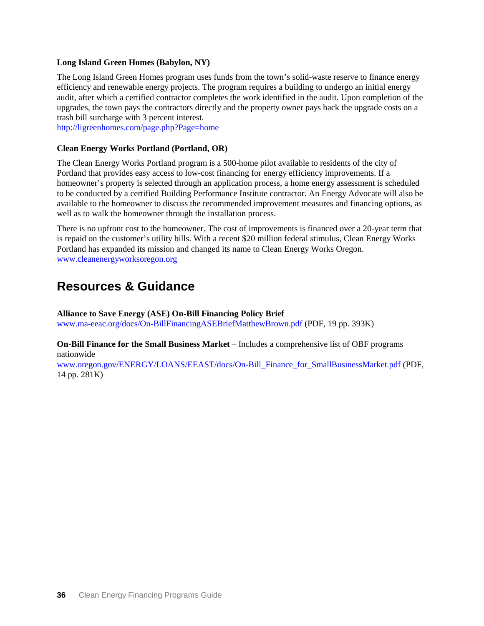#### **Long Island Green Homes (Babylon, NY)**

The Long Island Green Homes program uses funds from the town's solid-waste reserve to finance energy efficiency and renewable energy projects. The program requires a building to undergo an initial energy audit, after which a certified contractor completes the work identified in the audit. Upon completion of the upgrades, the town pays the contractors directly and the property owner pays back the upgrade costs on a trash bill surcharge with 3 percent interest.

<http://ligreenhomes.com/page.php?Page=home>

### **Clean Energy Works Portland (Portland, OR)**

The Clean Energy Works Portland program is a 500-home pilot available to residents of the city of Portland that provides easy access to low-cost financing for energy efficiency improvements. If a homeowner's property is selected through an application process, a home energy assessment is scheduled to be conducted by a certified Building Performance Institute contractor. An Energy Advocate will also be available to the homeowner to discuss the recommended improvement measures and financing options, as well as to walk the homeowner through the installation process.

There is no upfront cost to the homeowner. The cost of improvements is financed over a 20-year term that is repaid on the customer's utility bills. With a recent \$20 million federal stimulus, Clean Energy Works Portland has expanded its mission and changed its name to Clean Energy Works Oregon. [www.cleanenergyworksoregon.org](http://www.cleanenergyworksoregon.org/)

### **Resources & Guidance**

**Alliance to Save Energy (ASE) On-Bill Financing Policy Brief**

[www.ma-eeac.org/docs/On-BillFinancingASEBriefMatthewBrown.pdf](http://www.ma-eeac.org/docs/On-BillFinancingASEBriefMatthewBrown.pdf) (PDF, 19 pp. 393K)

**On-Bill Finance for the Small Business Market** – Includes a comprehensive list of OBF programs nationwide

[www.oregon.gov/ENERGY/LOANS/EEAST/docs/On-Bill\\_Finance\\_for\\_SmallBusinessMarket.pdf](http://www.oregon.gov/ENERGY/LOANS/EEAST/docs/On-Bill_Finance_for_SmallBusinessMarket.pdf) (PDF, 14 pp. 281K)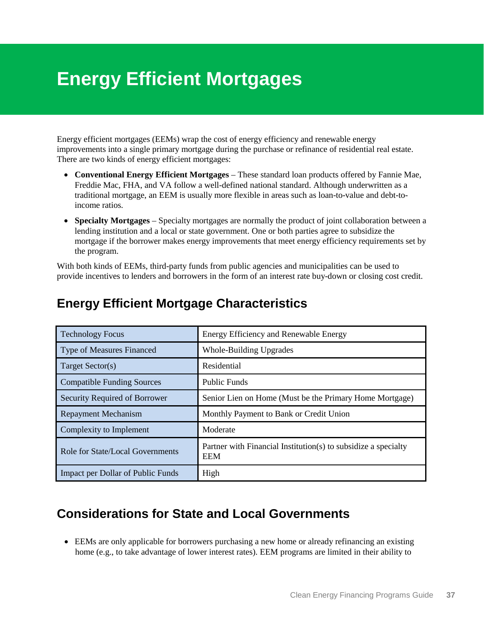# <span id="page-42-0"></span>**Energy Efficient Mortgages**

Energy efficient mortgages (EEMs) wrap the cost of energy efficiency and renewable energy improvements into a single primary mortgage during the purchase or refinance of residential real estate. There are two kinds of energy efficient mortgages:

- **Conventional Energy Efficient Mortgages** These standard loan products offered by Fannie Mae, Freddie Mac, FHA, and VA follow a well-defined national standard. Although underwritten as a traditional mortgage, an EEM is usually more flexible in areas such as loan-to-value and debt-toincome ratios.
- **Specialty Mortgages** Specialty mortgages are normally the product of joint collaboration between a lending institution and a local or state government. One or both parties agree to subsidize the mortgage if the borrower makes energy improvements that meet energy efficiency requirements set by the program.

With both kinds of EEMs, third-party funds from public agencies and municipalities can be used to provide incentives to lenders and borrowers in the form of an interest rate buy-down or closing cost credit.

| <b>Technology Focus</b>                  | Energy Efficiency and Renewable Energy                                       |
|------------------------------------------|------------------------------------------------------------------------------|
| <b>Type of Measures Financed</b>         | <b>Whole-Building Upgrades</b>                                               |
| Target Sector(s)                         | Residential                                                                  |
| <b>Compatible Funding Sources</b>        | <b>Public Funds</b>                                                          |
| <b>Security Required of Borrower</b>     | Senior Lien on Home (Must be the Primary Home Mortgage)                      |
| <b>Repayment Mechanism</b>               | Monthly Payment to Bank or Credit Union                                      |
| Complexity to Implement                  | Moderate                                                                     |
| Role for State/Local Governments         | Partner with Financial Institution(s) to subsidize a specialty<br><b>EEM</b> |
| <b>Impact per Dollar of Public Funds</b> | High                                                                         |

### **Energy Efficient Mortgage Characteristics**

### **Considerations for State and Local Governments**

• EEMs are only applicable for borrowers purchasing a new home or already refinancing an existing home (e.g., to take advantage of lower interest rates). EEM programs are limited in their ability to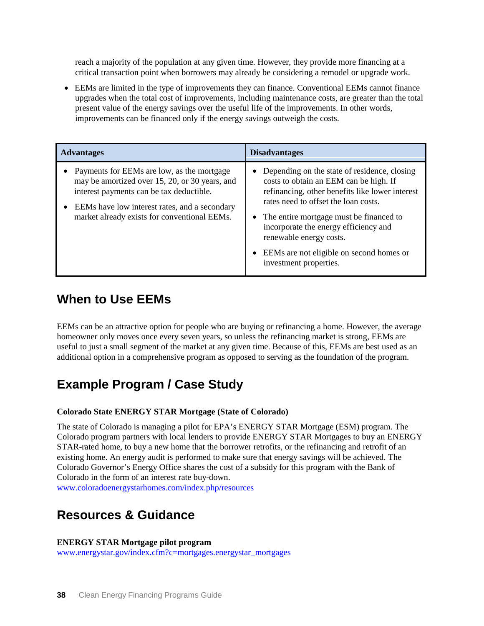reach a majority of the population at any given time. However, they provide more financing at a critical transaction point when borrowers may already be considering a remodel or upgrade work.

• EEMs are limited in the type of improvements they can finance. Conventional EEMs cannot finance upgrades when the total cost of improvements, including maintenance costs, are greater than the total present value of the energy savings over the useful life of the improvements. In other words, improvements can be financed only if the energy savings outweigh the costs.

| <b>Advantages</b>                                                                                                                                                                                                                           | <b>Disadvantages</b>                                                                                                                                                                                                                                                                                                                                                     |
|---------------------------------------------------------------------------------------------------------------------------------------------------------------------------------------------------------------------------------------------|--------------------------------------------------------------------------------------------------------------------------------------------------------------------------------------------------------------------------------------------------------------------------------------------------------------------------------------------------------------------------|
| • Payments for EEMs are low, as the mortgage<br>may be amortized over 15, 20, or 30 years, and<br>interest payments can be tax deductible.<br>EEMs have low interest rates, and a secondary<br>market already exists for conventional EEMs. | Depending on the state of residence, closing<br>costs to obtain an EEM can be high. If<br>refinancing, other benefits like lower interest<br>rates need to offset the loan costs.<br>• The entire mortgage must be financed to<br>incorporate the energy efficiency and<br>renewable energy costs.<br>EEMs are not eligible on second homes or<br>investment properties. |

### **When to Use EEMs**

EEMs can be an attractive option for people who are buying or refinancing a home. However, the average homeowner only moves once every seven years, so unless the refinancing market is strong, EEMs are useful to just a small segment of the market at any given time. Because of this, EEMs are best used as an additional option in a comprehensive program as opposed to serving as the foundation of the program.

### **Example Program / Case Study**

### **Colorado State ENERGY STAR Mortgage (State of Colorado)**

The state of Colorado is managing a pilot for EPA's ENERGY STAR Mortgage (ESM) program. The Colorado program partners with local lenders to provide ENERGY STAR Mortgages to buy an ENERGY STAR-rated home, to buy a new home that the borrower retrofits, or the refinancing and retrofit of an existing home. An energy audit is performed to make sure that energy savings will be achieved. The Colorado Governor's Energy Office shares the cost of a subsidy for this program with the Bank of Colorado in the form of an interest rate buy-down.

[www.coloradoenergystarhomes.com/index.php/resources](http://www.coloradoenergystarhomes.com/index.php/resources)

### **Resources & Guidance**

#### **ENERGY STAR Mortgage pilot program**

[www.energystar.gov/index.cfm?c=mortgages.energystar\\_mortgages](http://www.energystar.gov/index.cfm?c=mortgages.energystar_mortgages)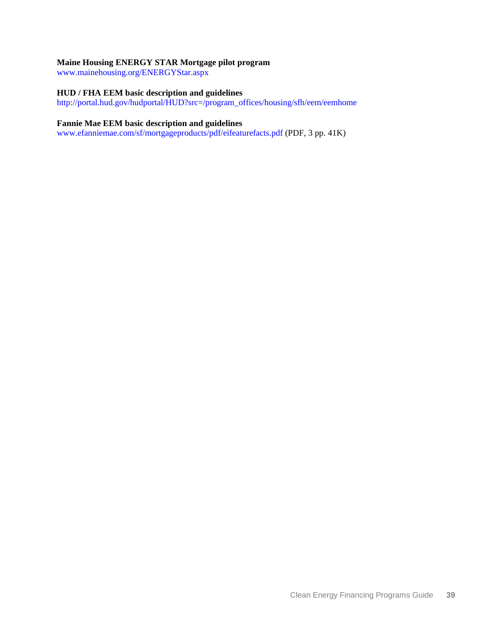#### **Maine Housing ENERGY STAR Mortgage pilot program**

[www.mainehousing.org/ENERGYStar.aspx](http://www.mainehousing.org/ENERGYStar.aspx)

### **HUD / FHA EEM basic description and guidelines**

[http://portal.hud.gov/hudportal/HUD?src=/program\\_offices/housing/sfh/eem/eemhome](http://portal.hud.gov/hudportal/HUD?src=/program_offices/housing/sfh/eem/eemhome)

#### **Fannie Mae EEM basic description and guidelines**

[www.efanniemae.com/sf/mortgageproducts/pdf/eifeaturefacts.pdf](http://www.efanniemae.com/sf/mortgageproducts/pdf/eifeaturefacts.pdf) (PDF, 3 pp. 41K)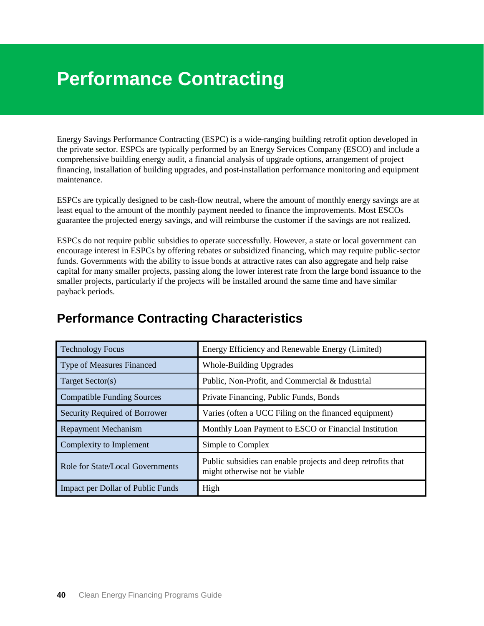# <span id="page-45-1"></span><span id="page-45-0"></span>**Performance Contracting**

Energy Savings Performance Contracting (ESPC) is a wide-ranging building retrofit option developed in the private sector. ESPCs are typically performed by an Energy Services Company (ESCO) and include a comprehensive building energy audit, a financial analysis of upgrade options, arrangement of project financing, installation of building upgrades, and post-installation performance monitoring and equipment maintenance.

ESPCs are typically designed to be cash-flow neutral, where the amount of monthly energy savings are at least equal to the amount of the monthly payment needed to finance the improvements. Most ESCOs guarantee the projected energy savings, and will reimburse the customer if the savings are not realized.

ESPCs do not require public subsidies to operate successfully. However, a state or local government can encourage interest in ESPCs by offering rebates or subsidized financing, which may require public-sector funds. Governments with the ability to issue bonds at attractive rates can also aggregate and help raise capital for many smaller projects, passing along the lower interest rate from the large bond issuance to the smaller projects, particularly if the projects will be installed around the same time and have similar payback periods.

| <b>Technology Focus</b>                  | Energy Efficiency and Renewable Energy (Limited)                                              |
|------------------------------------------|-----------------------------------------------------------------------------------------------|
| <b>Type of Measures Financed</b>         | <b>Whole-Building Upgrades</b>                                                                |
| Target Sector(s)                         | Public, Non-Profit, and Commercial & Industrial                                               |
| <b>Compatible Funding Sources</b>        | Private Financing, Public Funds, Bonds                                                        |
| <b>Security Required of Borrower</b>     | Varies (often a UCC Filing on the financed equipment)                                         |
| <b>Repayment Mechanism</b>               | Monthly Loan Payment to ESCO or Financial Institution                                         |
| Complexity to Implement                  | Simple to Complex                                                                             |
| Role for State/Local Governments         | Public subsidies can enable projects and deep retrofits that<br>might otherwise not be viable |
| <b>Impact per Dollar of Public Funds</b> | High                                                                                          |

### **Performance Contracting Characteristics**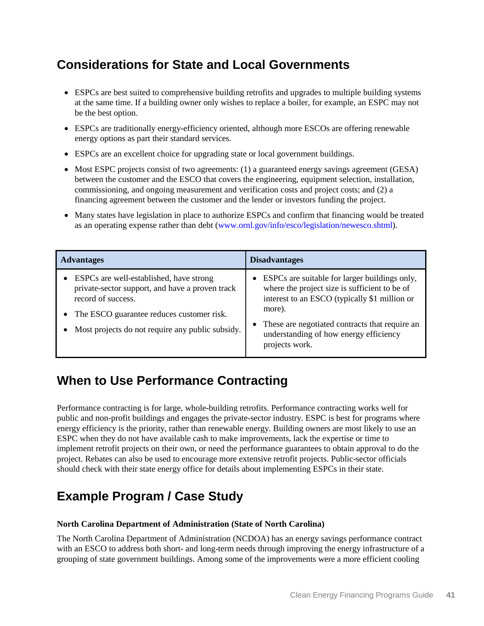# **Considerations for State and Local Governments**

- ESPCs are best suited to comprehensive building retrofits and upgrades to multiple building systems at the same time. If a building owner only wishes to replace a boiler, for example, an ESPC may not be the best option.
- ESPCs are traditionally energy-efficiency oriented, although more ESCOs are offering renewable energy options as part their standard services.
- ESPCs are an excellent choice for upgrading state or local government buildings.
- Most ESPC projects consist of two agreements: (1) a guaranteed energy savings agreement (GESA) between the customer and the ESCO that covers the engineering, equipment selection, installation, commissioning, and ongoing measurement and verification costs and project costs; and (2) a financing agreement between the customer and the lender or investors funding the project.
- Many states have legislation in place to authorize ESPCs and confirm that financing would be treated as an operating expense rather than debt [\(www.ornl.gov/info/esco/legislation/newesco.shtml\)](http://www.ornl.gov/info/esco/legislation/newesco.shtml).

| <b>Advantages</b>                                                                                                                                                                                                 | <b>Disadvantages</b>                                                                                                                                                                                                                                                    |
|-------------------------------------------------------------------------------------------------------------------------------------------------------------------------------------------------------------------|-------------------------------------------------------------------------------------------------------------------------------------------------------------------------------------------------------------------------------------------------------------------------|
| ESPCs are well-established, have strong<br>private-sector support, and have a proven track<br>record of success.<br>The ESCO guarantee reduces customer risk.<br>Most projects do not require any public subsidy. | ESPCs are suitable for larger buildings only,<br>where the project size is sufficient to be of<br>interest to an ESCO (typically \$1 million or<br>more).<br>These are negotiated contracts that require an<br>understanding of how energy efficiency<br>projects work. |

# **When to Use Performance Contracting**

Performance contracting is for large, whole-building retrofits. Performance contracting works well for public and non-profit buildings and engages the private-sector industry. ESPC is best for programs where energy efficiency is the priority, rather than renewable energy. Building owners are most likely to use an ESPC when they do not have available cash to make improvements, lack the expertise or time to implement retrofit projects on their own, or need the performance guarantees to obtain approval to do the project. Rebates can also be used to encourage more extensive retrofit projects. Public-sector officials should check with their state energy office for details about implementing ESPCs in their state.

# **Example Program / Case Study**

### **[North Carolina Department of Administration](http://www.naesco.org/resources/casestudies/documents/PES%20NC%20State.pdf) (State of North Carolina)**

The North Carolina Department of Administration (NCDOA) has an energy savings performance contract with an ESCO to address both short- and long-term needs through improving the energy infrastructure of a grouping of state government buildings. Among some of the improvements were a more efficient cooling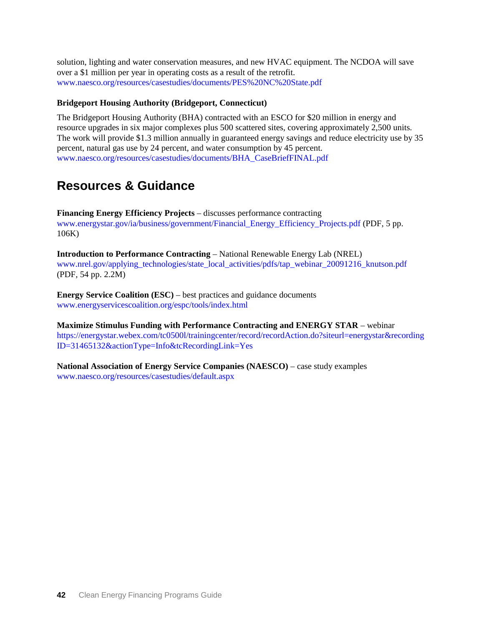solution, lighting and water conservation measures, and new HVAC equipment. The NCDOA will save over a \$1 million per year in operating costs as a result of the retrofit. [www.naesco.org/resources/casestudies/documents/PES%20NC%20State.pdf](http://www.naesco.org/resources/casestudies/documents/PES%20NC%20State.pdf)

### **[Bridgeport Housing Authority](http://www.naesco.org/resources/casestudies/documents/BHA_CaseBriefFINAL.pdf) (Bridgeport, Connecticut)**

The Bridgeport Housing Authority (BHA) contracted with an ESCO for \$20 million in energy and resource upgrades in six major complexes plus 500 scattered sites, covering approximately 2,500 units. The work will provide \$1.3 million annually in guaranteed energy savings and reduce electricity use by 35 percent, natural gas use by 24 percent, and water consumption by 45 percent. [www.naesco.org/resources/casestudies/documents/BHA\\_CaseBriefFINAL.pdf](http://www.naesco.org/resources/casestudies/documents/BHA_CaseBriefFINAL.pdf)

### **Resources & Guidance**

**Financing Energy Efficiency Projects** – discusses performance contracting [www.energystar.gov/ia/business/government/Financial\\_Energy\\_Efficiency\\_Projects.pdf](http://www.energystar.gov/ia/business/government/Financial_Energy_Efficiency_Projects.pdf) (PDF, 5 pp. 106K)

**Introduction to Performance Contracting** – National Renewable Energy Lab (NREL) [www.nrel.gov/applying\\_technologies/state\\_local\\_activities/pdfs/tap\\_webinar\\_20091216\\_knutson.pdf](http://www.nrel.gov/applying_technologies/state_local_activities/pdfs/tap_webinar_20091216_knutson.pdf) (PDF, 54 pp. 2.2M)

**Energy Service Coalition (ESC)** – best practices and guidance documents [www.energyservicescoalition.org/espc/tools/index.html](http://www.energyservicescoalition.org/espc/tools/index.html)

**Maximize Stimulus Funding with Performance Contracting and ENERGY STAR** – webinar [https://energystar.webex.com/tc0500l/trainingcenter/record/recordAction.do?siteurl=energystar&recording](https://energystar.webex.com/tc0500l/trainingcenter/record/recordAction.do?siteurl=energystar&recordingID=31465132&actionType=Info&tcRecordingLink=Yes) [ID=31465132&actionType=Info&tcRecordingLink=Yes](https://energystar.webex.com/tc0500l/trainingcenter/record/recordAction.do?siteurl=energystar&recordingID=31465132&actionType=Info&tcRecordingLink=Yes)

**National Association of Energy Service Companies (NAESCO)** – case study examples [www.naesco.org/resources/casestudies/default.aspx](http://www.naesco.org/resources/casestudies/default.aspx)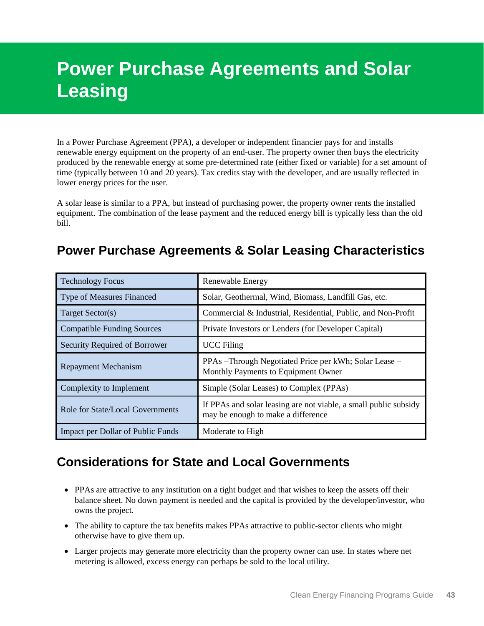# <span id="page-48-0"></span>**Power Purchase Agreements and Solar Leasing**

In a Power Purchase Agreement (PPA), a developer or independent financier pays for and installs renewable energy equipment on the property of an end-user. The property owner then buys the electricity produced by the renewable energy at some pre-determined rate (either fixed or variable) for a set amount of time (typically between 10 and 20 years). Tax credits stay with the developer, and are usually reflected in lower energy prices for the user.

A solar lease is similar to a PPA, but instead of purchasing power, the property owner rents the installed equipment. The combination of the lease payment and the reduced energy bill is typically less than the old bill.

### **Power Purchase Agreements & Solar Leasing Characteristics**

| <b>Technology Focus</b>              | <b>Renewable Energy</b>                                                                                |
|--------------------------------------|--------------------------------------------------------------------------------------------------------|
| <b>Type of Measures Financed</b>     | Solar, Geothermal, Wind, Biomass, Landfill Gas, etc.                                                   |
| Target Sector(s)                     | Commercial & Industrial, Residential, Public, and Non-Profit                                           |
| <b>Compatible Funding Sources</b>    | Private Investors or Lenders (for Developer Capital)                                                   |
| <b>Security Required of Borrower</b> | <b>UCC</b> Filing                                                                                      |
| <b>Repayment Mechanism</b>           | PPAs –Through Negotiated Price per kWh; Solar Lease –<br>Monthly Payments to Equipment Owner           |
| Complexity to Implement              | Simple (Solar Leases) to Complex (PPAs)                                                                |
| Role for State/Local Governments     | If PPAs and solar leasing are not viable, a small public subsidy<br>may be enough to make a difference |
| Impact per Dollar of Public Funds    | Moderate to High                                                                                       |

### **Considerations for State and Local Governments**

- PPAs are attractive to any institution on a tight budget and that wishes to keep the assets off their balance sheet. No down payment is needed and the capital is provided by the developer/investor, who owns the project.
- The ability to capture the tax benefits makes PPAs attractive to public-sector clients who might otherwise have to give them up.
- Larger projects may generate more electricity than the property owner can use. In states where net metering is allowed, excess energy can perhaps be sold to the local utility.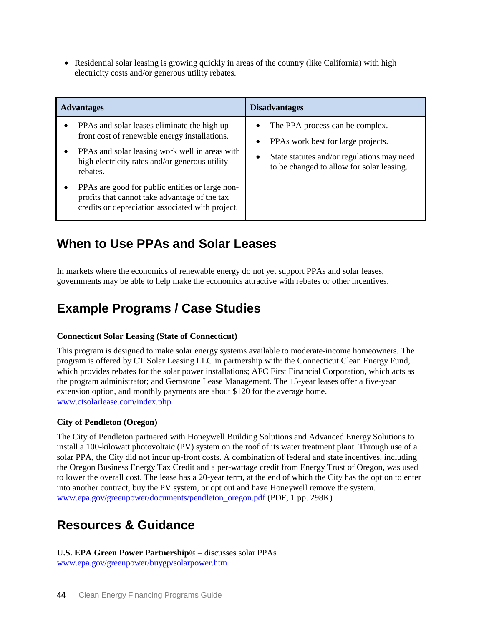• Residential solar leasing is growing quickly in areas of the country (like California) with high electricity costs and/or generous utility rebates.

| <b>Advantages</b>                                                                                                                                                                                             | <b>Disadvantages</b>                                                                                                                                                  |
|---------------------------------------------------------------------------------------------------------------------------------------------------------------------------------------------------------------|-----------------------------------------------------------------------------------------------------------------------------------------------------------------------|
| PPAs and solar leases eliminate the high up-<br>front cost of renewable energy installations.<br>PPAs and solar leasing work well in areas with<br>high electricity rates and/or generous utility<br>rebates. | The PPA process can be complex.<br>PPAs work best for large projects.<br>State statutes and/or regulations may need<br>٠<br>to be changed to allow for solar leasing. |
| PPAs are good for public entities or large non-<br>profits that cannot take advantage of the tax<br>credits or depreciation associated with project.                                                          |                                                                                                                                                                       |

### **When to Use PPAs and Solar Leases**

In markets where the economics of renewable energy do not yet support PPAs and solar leases, governments may be able to help make the economics attractive with rebates or other incentives.

# **Example Programs / Case Studies**

### **[Connecticut Solar Leasing](http://www.ctsolarlease.com/) (State of Connecticut)**

This program is designed to make solar energy systems available to moderate-income homeowners. The program is offered by CT Solar Leasing LLC in partnership with: the Connecticut Clean Energy Fund, which provides rebates for the solar power installations; AFC First Financial Corporation, which acts as the program administrator; and Gemstone Lease Management. The 15-year leases offer a five-year extension option, and monthly payments are about \$120 for the average home. [www.ctsolarlease.com/index.php](http://www.ctsolarlease.com/index.php)

### **[City of Pendleton](http://www.epa.gov/greenpower/documents/pendleton_oregon.pdf) (Oregon)**

The City of Pendleton partnered with Honeywell Building Solutions and Advanced Energy Solutions to install a 100-kilowatt photovoltaic (PV) system on the roof of its water treatment plant. Through use of a solar PPA, the City did not incur up-front costs. A combination of federal and state incentives, including the Oregon Business Energy Tax Credit and a per-wattage credit from Energy Trust of Oregon, was used to lower the overall cost. The lease has a 20-year term, at the end of which the City has the option to enter into another contract, buy the PV system, or opt out and have Honeywell remove the system. [www.epa.gov/greenpower/documents/pendleton\\_oregon.pdf](http://www.epa.gov/greenpower/documents/pendleton_oregon.pdf) (PDF, 1 pp. 298K)

### **Resources & Guidance**

**[U.S. EPA Green Power Partnership](http://www.epa.gov/greenpower/buygp/solarpower.htm)**® – discusses solar PPAs [www.epa.gov/greenpower/buygp/solarpower.htm](http://www.epa.gov/greenpower/buygp/solarpower.htm)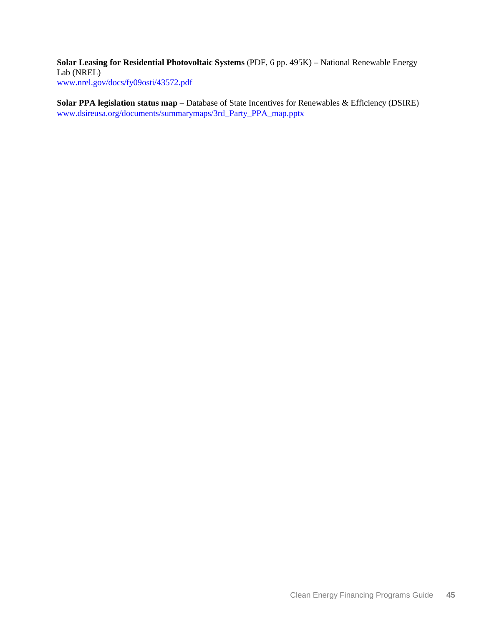**[Solar Leasing for Residential Photovoltaic Systems](http://www.nrel.gov/docs/fy09osti/43572.pdf)** (PDF, 6 pp. 495K) – National Renewable Energy Lab (NREL) [www.nrel.gov/docs/fy09osti/43572.pdf](http://www.nrel.gov/docs/fy09osti/43572.pdf)

**[Solar PPA legislation status map](http://www.dsireusa.org/documents/summarymaps/3rd_Party_PPA_map.pptx)** – Database of State Incentives for Renewables & Efficiency (DSIRE) [www.dsireusa.org/documents/summarymaps/3rd\\_Party\\_PPA\\_map.pptx](http://www.dsireusa.org/documents/summarymaps/3rd_Party_PPA_map.pptx)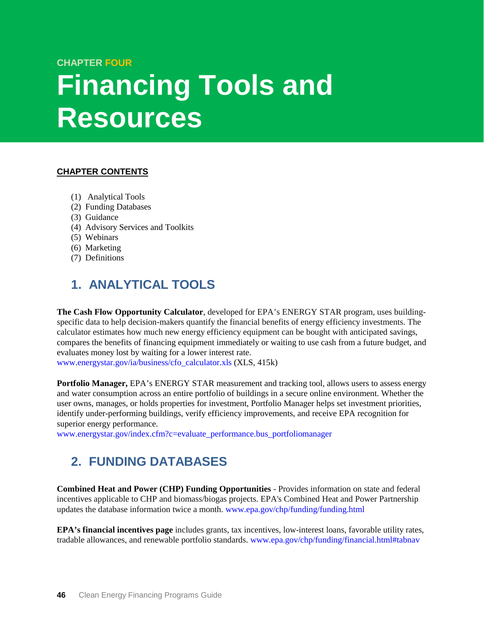### **CHAPTER FOUR**

# <span id="page-51-0"></span>**Financing Tools and Resources**

### **CHAPTER CONTENTS**

- (1) [Analytical Tools](#page-51-2)
- (2) [Funding Databases](#page-51-1)
- (3) [Guidance](#page-52-0)
- (4) [Advisory Services and Toolkits](#page-53-1)
- (5) [Webinars](#page-53-2)
- (6) [Marketing](#page-53-0)
- (7) [Definitions](#page-54-0)

# <span id="page-51-2"></span>**1. ANALYTICAL TOOLS**

**The Cash Flow Opportunity Calculator**, developed for EPA's ENERGY STAR program, uses buildingspecific data to help decision-makers quantify the financial benefits of energy efficiency investments. The calculator estimates how much new energy efficiency equipment can be bought with anticipated savings, compares the benefits of financing equipment immediately or waiting to use cash from a future budget, and evaluates money lost by waiting for a lower interest rate.

[www.energystar.gov/ia/business/cfo\\_calculator.xls](http://www.energystar.gov/ia/business/cfo_calculator.xls) (XLS, 415k)

**Portfolio Manager,** EPA's ENERGY STAR measurement and tracking tool, allows users to assess energy and water consumption across an entire portfolio of buildings in a secure online environment. Whether the user owns, manages, or holds properties for investment, Portfolio Manager helps set investment priorities, identify under-performing buildings, verify efficiency improvements, and receive EPA recognition for superior energy performance.

[www.energystar.gov/index.cfm?c=evaluate\\_performance.bus\\_portfoliomanager](http://www.energystar.gov/index.cfm?c=evaluate_performance.bus_portfoliomanager)

# <span id="page-51-1"></span>**2. FUNDING DATABASES**

**Combined Heat and Power (CHP) Funding Opportunities** - Provides information on state and federal incentives applicable to CHP and biomass/biogas projects. EPA's Combined Heat and Power Partnership updates the database information twice a month. [www.epa.gov/chp/funding/funding.html](http://www.epa.gov/chp/funding/funding.html)

**EPA's financial incentives page** includes grants, tax incentives, low-interest loans, favorable utility rates, tradable allowances, and renewable portfolio standards. [www.epa.gov/chp/funding/financial.html#tabnav](http://www.epa.gov/chp/funding/financial.html#tabnav)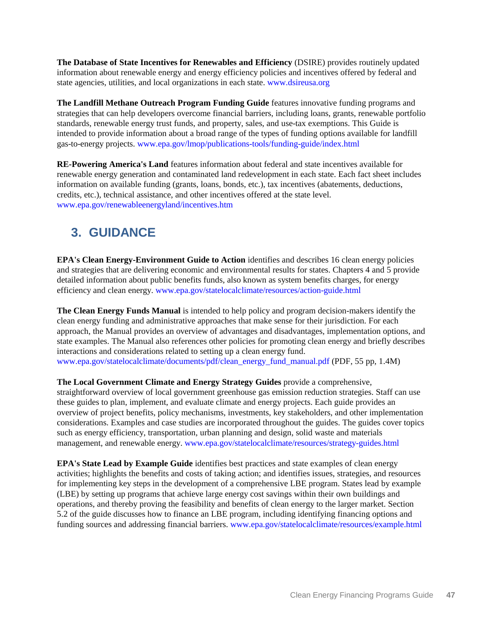**The Database of State Incentives for Renewables and Efficiency** (DSIRE) provides routinely updated information about renewable energy and energy efficiency policies and incentives offered by federal and state agencies, utilities, and local organizations in each state. [www.dsireusa.org](http://www.dsireusa.org/)

**The Landfill Methane Outreach Program Funding Guide** features innovative funding programs and strategies that can help developers overcome financial barriers, including loans, grants, renewable portfolio standards, renewable energy trust funds, and property, sales, and use-tax exemptions. This Guide is intended to provide information about a broad range of the types of funding options available for landfill gas-to-energy projects. [www.epa.gov/lmop/publications-tools/funding-guide/index.html](http://www.epa.gov/lmop/publications-tools/funding-guide/index.html)

**RE-Powering America's Land** features information about federal and state incentives available for renewable energy generation and contaminated land redevelopment in each state. Each fact sheet includes information on available funding (grants, loans, bonds, etc.), tax incentives (abatements, deductions, credits, etc.), technical assistance, and other incentives offered at the state level. [www.epa.gov/renewableenergyland/incentives.htm](http://www.epa.gov/renewableenergyland/incentives.htm)

# <span id="page-52-0"></span>**3. GUIDANCE**

**EPA's Clean Energy-Environment Guide to Action** identifies and describes 16 clean energy policies and strategies that are delivering economic and environmental results for states. Chapters 4 and 5 provide detailed information about public benefits funds, also known as system benefits charges, for energy efficiency and clean energy. [www.epa.gov/statelocalclimate/resources/action-guide.html](http://www.epa.gov/statelocalclimate/resources/action-guide.html)

**The Clean Energy Funds Manual** is intended to help policy and program decision-makers identify the clean energy funding and administrative approaches that make sense for their jurisdiction. For each approach, the Manual provides an overview of advantages and disadvantages, implementation options, and state examples. The Manual also references other policies for promoting clean energy and briefly describes interactions and considerations related to setting up a clean energy fund. [www.epa.gov/statelocalclimate/documents/pdf/clean\\_energy\\_fund\\_manual.pdf](http://www.epa.gov/statelocalclimate/documents/pdf/clean_energy_fund_manual.pdf) (PDF, 55 pp, 1.4M)

**The Local Government Climate and Energy Strategy Guides** provide a comprehensive, straightforward overview of local government greenhouse gas emission reduction strategies. Staff can use these guides to plan, implement, and evaluate climate and energy projects. Each guide provides an overview of project benefits, policy mechanisms, investments, key stakeholders, and other implementation considerations. Examples and case studies are incorporated throughout the guides. The guides cover topics such as energy efficiency, transportation, urban planning and design, solid waste and materials management, and renewable energy. [www.epa.gov/statelocalclimate/resources/strategy-guides.html](http://www.epa.gov/statelocalclimate/resources/strategy-guides.html)

**EPA's State Lead by Example Guide** identifies best practices and state examples of clean energy activities; highlights the benefits and costs of taking action; and identifies issues, strategies, and resources for implementing key steps in the development of a comprehensive LBE program. States lead by example (LBE) by setting up programs that achieve large energy cost savings within their own buildings and operations, and thereby proving the feasibility and benefits of clean energy to the larger market. Section 5.2 of the guide discusses how to finance an LBE program, including identifying financing options and funding sources and addressing financial barriers. [www.epa.gov/statelocalclimate/resources/example.html](http://www.epa.gov/statelocalclimate/resources/example.html)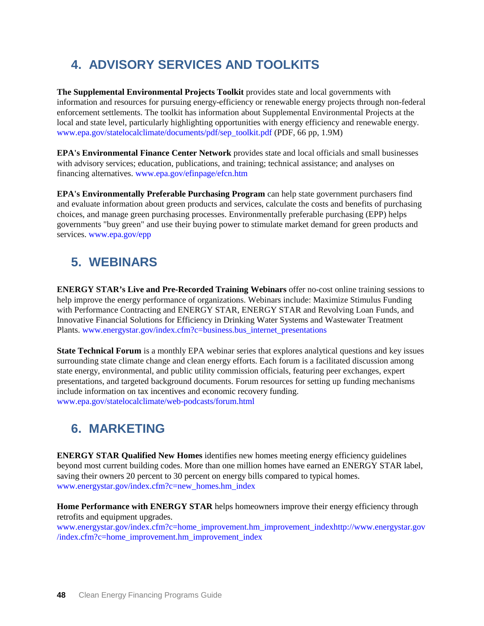# <span id="page-53-1"></span>**4. ADVISORY SERVICES AND TOOLKITS**

**The Supplemental Environmental Projects Toolkit** provides state and local governments with information and resources for pursuing energy-efficiency or renewable energy projects through non-federal enforcement settlements. The toolkit has information about Supplemental Environmental Projects at the local and state level, particularly highlighting opportunities with energy efficiency and renewable energy. [www.epa.gov/statelocalclimate/documents/pdf/sep\\_toolkit.pdf](http://www.epa.gov/statelocalclimate/documents/pdf/sep_toolkit.pdf) (PDF, 66 pp, 1.9M)

**EPA's Environmental Finance Center Network** provides state and local officials and small businesses with advisory services; education, publications, and training; technical assistance; and analyses on financing alternatives. [www.epa.gov/efinpage/efcn.htm](http://www.epa.gov/efinpage/efcn.htm)

**EPA's Environmentally Preferable Purchasing Program** can help state government purchasers find and evaluate information about green products and services, calculate the costs and benefits of purchasing choices, and manage green purchasing processes. Environmentally preferable purchasing (EPP) helps governments "buy green" and use their buying power to stimulate market demand for green products and services. [www.epa.gov/epp](http://www.epa.gov/epp)

# <span id="page-53-2"></span>**5. WEBINARS**

**ENERGY STAR's Live and Pre-Recorded Training Webinars** offer no-cost online training sessions to help improve the energy performance of organizations. Webinars include: Maximize Stimulus Funding with Performance Contracting and ENERGY STAR, ENERGY STAR and Revolving Loan Funds, and Innovative Financial Solutions for Efficiency in Drinking Water Systems and Wastewater Treatment Plants. [www.energystar.gov/index.cfm?c=business.bus\\_internet\\_presentations](http://www.energystar.gov/index.cfm?c=business.bus_internet_presentations)

**State Technical Forum** is a monthly EPA webinar series that explores analytical questions and key issues surrounding state climate change and clean energy efforts. Each forum is a facilitated discussion among state energy, environmental, and public utility commission officials, featuring peer exchanges, expert presentations, and targeted background documents. Forum resources for setting up funding mechanisms include information on tax incentives and economic recovery funding. [www.epa.gov/statelocalclimate/web-podcasts/forum.html](http://www.epa.gov/statelocalclimate/web-podcasts/forum.html)

# <span id="page-53-0"></span>**6. MARKETING**

**ENERGY STAR Qualified New Homes** identifies new homes meeting energy efficiency guidelines beyond most current building codes. More than one million homes have earned an ENERGY STAR label, saving their owners 20 percent to 30 percent on energy bills compared to typical homes. [www.energystar.gov/index.cfm?c=new\\_homes.hm\\_index](http://www.energystar.gov/index.cfm?c=new_homes.hm_index)

**Home Performance with ENERGY STAR** helps homeowners improve their energy efficiency through retrofits and equipment upgrades.

[www.energystar.gov/index.cfm?c=home\\_improvement.hm\\_improvement\\_indexhttp://www.energystar.gov](http://www.energystar.gov/index.cfm?c=home_improvement.hm_improvement_indexhttp://www.energystar.gov/index.cfm?c=home_improvement.hm_improvement_index) [/index.cfm?c=home\\_improvement.hm\\_improvement\\_index](http://www.energystar.gov/index.cfm?c=home_improvement.hm_improvement_indexhttp://www.energystar.gov/index.cfm?c=home_improvement.hm_improvement_index)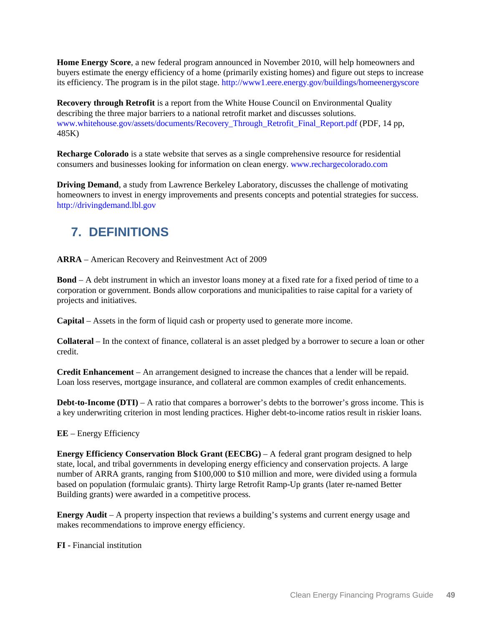**Home Energy Score**, a new federal program announced in November 2010, will help homeowners and buyers estimate the energy efficiency of a home (primarily existing homes) and figure out steps to increase its efficiency. The program is in the pilot stage.<http://www1.eere.energy.gov/buildings/homeenergyscore>

**Recovery through Retrofit** is a report from the White House Council on Environmental Quality describing the three major barriers to a national retrofit market and discusses solutions. [www.whitehouse.gov/assets/documents/Recovery\\_Through\\_Retrofit\\_Final\\_Report.pdf](http://www.whitehouse.gov/assets/documents/Recovery_Through_Retrofit_Final_Report.pdf) (PDF, 14 pp, 485K)

**Recharge Colorado** is a state website that serves as a single comprehensive resource for residential consumers and businesses looking for information on clean energy. [www.rechargecolorado.com](http://www.rechargecolorado.com/)

**Driving Demand**, a study from Lawrence Berkeley Laboratory, discusses the challenge of motivating homeowners to invest in energy improvements and presents concepts and potential strategies for success. [http://drivingdemand.lbl.gov](http://drivingdemand.lbl.gov/)

# <span id="page-54-0"></span>**7. DEFINITIONS**

**ARRA** – American Recovery and Reinvestment Act of 2009

**Bond** – A debt instrument in which an investor loans money at a fixed rate for a fixed period of time to a corporation or government. Bonds allow corporations and municipalities to raise capital for a variety of projects and initiatives.

**Capital** – Assets in the form of liquid cash or property used to generate more income.

**Collateral** – In the context of finance, collateral is an asset pledged by a borrower to secure a loan or other credit.

**Credit Enhancement** – An arrangement designed to increase the chances that a lender will be repaid. Loan loss reserves, mortgage insurance, and collateral are common examples of credit enhancements.

**Debt-to-Income (DTI)** – A ratio that compares a borrower's debts to the borrower's gross income. This is a key underwriting criterion in most lending practices. Higher debt-to-income ratios result in riskier loans.

**EE** – Energy Efficiency

**Energy Efficiency Conservation Block Grant (EECBG)** – A federal grant program designed to help state, local, and tribal governments in developing energy efficiency and conservation projects. A large number of ARRA grants, ranging from \$100,000 to \$10 million and more, were divided using a formula based on population (formulaic grants). Thirty large Retrofit Ramp-Up grants (later re-named Better Building grants) were awarded in a competitive process.

**Energy Audit** – A property inspection that reviews a building's systems and current energy usage and makes recommendations to improve energy efficiency.

**FI** - Financial institution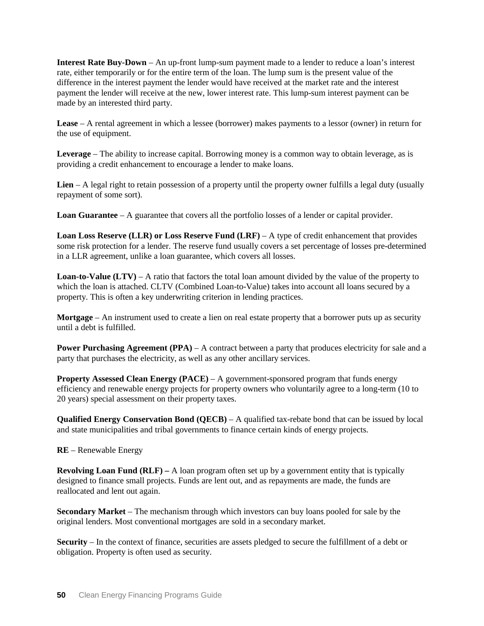**Interest Rate Buy-Down** – An up-front lump-sum payment made to a lender to reduce a loan's interest rate, either temporarily or for the entire term of the loan. The lump sum is the present value of the difference in the interest payment the lender would have received at the market rate and the interest payment the lender will receive at the new, lower interest rate. This lump-sum interest payment can be made by an interested third party.

**Lease** – A rental agreement in which a lessee (borrower) makes payments to a lessor (owner) in return for the use of equipment.

**Leverage** – The ability to increase capital. Borrowing money is a common way to obtain leverage, as is providing a credit enhancement to encourage a lender to make loans.

**Lien** – A legal right to retain possession of a property until the property owner fulfills a legal duty (usually repayment of some sort).

**Loan Guarantee** – A guarantee that covers all the portfolio losses of a lender or capital provider.

**Loan Loss Reserve (LLR) or Loss Reserve Fund (LRF)** – A type of credit enhancement that provides some risk protection for a lender. The reserve fund usually covers a set percentage of losses pre-determined in a LLR agreement, unlike a loan guarantee, which covers all losses.

**Loan-to-Value (LTV)** – A ratio that factors the total loan amount divided by the value of the property to which the loan is attached. CLTV (Combined Loan-to-Value) takes into account all loans secured by a property. This is often a key underwriting criterion in lending practices.

**Mortgage** – An instrument used to create a lien on real estate property that a borrower puts up as security until a debt is fulfilled.

**Power Purchasing Agreement (PPA)** – A contract between a party that produces electricity for sale and a party that purchases the electricity, as well as any other ancillary services.

**Property Assessed Clean Energy (PACE)** – A government-sponsored program that funds energy efficiency and renewable energy projects for property owners who voluntarily agree to a long-term (10 to 20 years) special assessment on their property taxes.

**Qualified Energy Conservation Bond (QECB)** – A qualified tax-rebate bond that can be issued by local and state municipalities and tribal governments to finance certain kinds of energy projects.

**RE** – Renewable Energy

**Revolving Loan Fund (RLF)** – A loan program often set up by a government entity that is typically designed to finance small projects. Funds are lent out, and as repayments are made, the funds are reallocated and lent out again.

**Secondary Market** – The mechanism through which investors can buy loans pooled for sale by the original lenders. Most conventional mortgages are sold in a secondary market.

**Security** – In the context of finance, securities are assets pledged to secure the fulfillment of a debt or obligation. Property is often used as security.